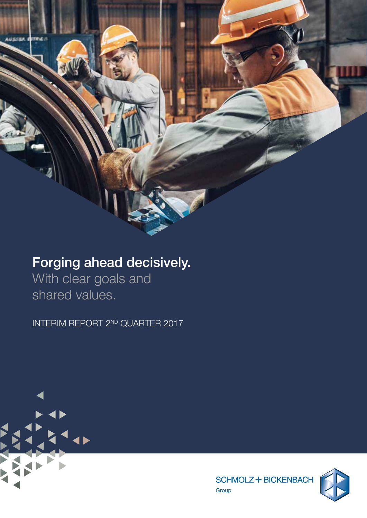# Forging ahead decisively.

With clear goals and shared values.

INTERIM REPORT 2ND QUARTER 2017





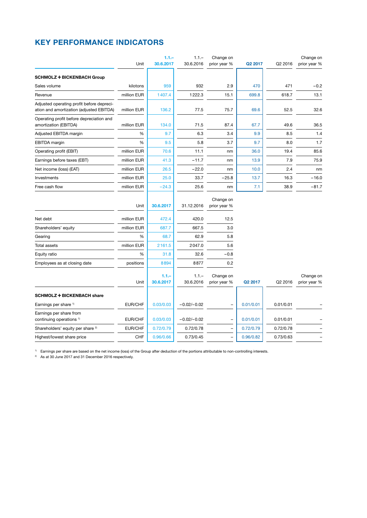### KEY PERFORMANCE INDICATORS

|                                                                                       |             | $1.1 -$              | $1.1 -$              | Change on                 |                     |           | Change on                 |
|---------------------------------------------------------------------------------------|-------------|----------------------|----------------------|---------------------------|---------------------|-----------|---------------------------|
|                                                                                       | Unit        | 30.6.2017            | 30.6.2016            | prior year %              | Q <sub>2</sub> 2017 | Q2 2016   | prior year %              |
| <b>SCHMOLZ + BICKENBACH Group</b>                                                     |             |                      |                      |                           |                     |           |                           |
| Sales volume                                                                          | kilotons    | 959                  | 932                  | 2.9                       | 470                 | 471       | $-0.2$                    |
| Revenue                                                                               | million EUR | 1407.4               | 1222.3               | 15.1                      | 699.8               | 618.7     | 13.1                      |
| Adjusted operating profit before depreci-<br>ation and amortization (adjusted EBITDA) | million EUR | 136.2                | 77.5                 | 75.7                      | 69.6                | 52.5      | 32.6                      |
| Operating profit before depreciation and<br>amortization (EBITDA)                     | million EUR | 134.0                | 71.5                 | 87.4                      | 67.7                | 49.6      | 36.5                      |
| Adjusted EBITDA margin                                                                | $\%$        | 9.7                  | 6.3                  | 3.4                       | 9.9                 | 8.5       | 1.4                       |
| EBITDA margin                                                                         | %           | 9.5                  | 5.8                  | 3.7                       | 9.7                 | 8.0       | 1.7                       |
| Operating profit (EBIT)                                                               | million EUR | 70.6                 | 11.1                 | nm                        | 36.0                | 19.4      | 85.6                      |
| Earnings before taxes (EBT)                                                           | million EUR | 41.3                 | $-11.7$              | nm                        | 13.9                | 7.9       | 75.9                      |
| Net income (loss) (EAT)                                                               | million EUR | 26.5                 | $-22.0$              | nm                        | 10.0                | 2.4       | nm                        |
| Investments                                                                           | million EUR | 25.0                 | 33.7                 | $-25.8$                   | 13.7                | 16.3      | $-16.0$                   |
| Free cash flow                                                                        | million EUR | $-24.3$              | 25.6                 | nm                        | 7.1                 | 38.9      | $-81.7$                   |
|                                                                                       | Unit        | 30.6.2017            | 31.12.2016           | Change on<br>prior year % |                     |           |                           |
| Net debt                                                                              | million EUR | 472.4                | 420.0                | 12.5                      |                     |           |                           |
| Shareholders' equity                                                                  | million EUR | 687.7                | 667.5                | 3.0                       |                     |           |                           |
| Gearing                                                                               | %           | 68.7                 | 62.9                 | 5.8                       |                     |           |                           |
| <b>Total assets</b>                                                                   | million EUR | 2161.5               | 2047.0               | 5.6                       |                     |           |                           |
| Equity ratio                                                                          | %           | 31.8                 | 32.6                 | $-0.8$                    |                     |           |                           |
| Employees as at closing date                                                          | positions   | 8894                 | 8877                 | 0.2                       |                     |           |                           |
|                                                                                       | Unit        | $1.1 -$<br>30.6.2017 | $1.1 -$<br>30.6.2016 | Change on<br>prior year % | Q2 2017             | Q2 2016   | Change on<br>prior year % |
| <b>SCHMOLZ + BICKENBACH share</b>                                                     |             |                      |                      |                           |                     |           |                           |
| Earnings per share 1)                                                                 | EUR/CHF     | 0.03/0.03            | $-0.02/-0.02$        |                           | 0.01/0.01           | 0.01/0.01 |                           |
| Earnings per share from<br>continuing operations <sup>1)</sup>                        | EUR/CHF     | 0.03/0.03            | $-0.02/-0.02$        |                           | 0.01/0.01           | 0.01/0.01 |                           |
| Shareholders' equity per share <sup>2)</sup>                                          | EUR/CHF     | 0.72/0.79            | 0.72/0.78            |                           | 0.72/0.79           | 0.72/0.78 |                           |
| Highest/lowest share price                                                            | CHF         | 0.96/0.66            | 0.73/0.45            |                           | 0.96/0.82           | 0.73/0.63 |                           |

<sup>1)</sup> Earnings per share are based on the net income (loss) of the Group after deduction of the portions attributable to non-controlling interests.

<sup>2)</sup> As at 30 June 2017 and 31 December 2016 respectively.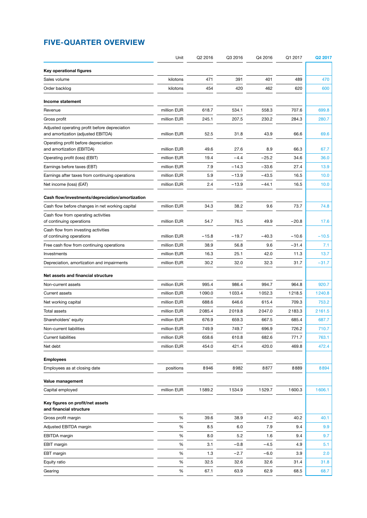### FIVE-QUARTER OVERVIEW

|                                                                                     | Unit        | Q2 2016 | Q3 2016 | Q4 2016 | Q1 2017 | Q2 2017 |
|-------------------------------------------------------------------------------------|-------------|---------|---------|---------|---------|---------|
| Key operational figures                                                             |             |         |         |         |         |         |
| Sales volume                                                                        | kilotons    | 471     | 391     | 401     | 489     | 470     |
| Order backlog                                                                       | kilotons    | 454     | 420     | 462     | 620     | 600     |
| Income statement                                                                    |             |         |         |         |         |         |
| Revenue                                                                             | million EUR | 618.7   | 534.1   | 558.3   | 707.6   | 699.8   |
| Gross profit                                                                        | million EUR | 245.1   | 207.5   | 230.2   | 284.3   | 280.7   |
| Adjusted operating profit before depreciation<br>and amortization (adjusted EBITDA) | million EUR | 52.5    | 31.8    | 43.9    | 66.6    | 69.6    |
| Operating profit before depreciation<br>and amortization (EBITDA)                   | million EUR | 49.6    | 27.6    | 8.9     | 66.3    | 67.7    |
| Operating profit (loss) (EBIT)                                                      | million EUR | 19.4    | $-4.4$  | $-25.2$ | 34.6    | 36.0    |
| Earnings before taxes (EBT)                                                         | million EUR | 7.9     | $-14.3$ | $-33.6$ | 27.4    | 13.9    |
| Earnings after taxes from continuing operations                                     | million EUR | 5.9     | $-13.9$ | $-43.5$ | 16.5    | 10.0    |
| Net income (loss) (EAT)                                                             | million EUR | 2.4     | $-13.9$ | $-44.1$ | 16.5    | 10.0    |
| Cash flow/investments/depreciation/amortization                                     |             |         |         |         |         |         |
| Cash flow before changes in net working capital                                     | million EUR | 34.3    | 38.2    | 9.6     | 73.7    | 74.8    |
| Cash flow from operating activities<br>of continuing operations                     | million EUR | 54.7    | 76.5    | 49.9    | $-20.8$ | 17.6    |
| Cash flow from investing activities<br>of continuing operations                     | million EUR | $-15.8$ | $-19.7$ | $-40.3$ | $-10.6$ | $-10.5$ |
| Free cash flow from continuing operations                                           | million EUR | 38.9    | 56.8    | 9.6     | $-31.4$ | 7.1     |
| Investments                                                                         | million EUR | 16.3    | 25.1    | 42.0    | 11.3    | 13.7    |
| Depreciation, amortization and impairments                                          | million EUR | 30.2    | 32.0    | 32.3    | 31.7    | $-31.7$ |
| Net assets and financial structure                                                  |             |         |         |         |         |         |
| Non-current assets                                                                  | million EUR | 995.4   | 986.4   | 994.7   | 964.8   | 920.7   |
| <b>Current assets</b>                                                               | million EUR | 1090.0  | 1033.4  | 1052.3  | 1218.5  | 1240.8  |
| Net working capital                                                                 | million EUR | 688.6   | 646.6   | 615.4   | 709.3   | 753.2   |
| Total assets                                                                        | million EUR | 2085.4  | 2019.8  | 2047.0  | 2183.3  | 2161.5  |
| Shareholders' equity                                                                | million EUR | 676.9   | 659.3   | 667.5   | 685.4   | 687.7   |
| Non-current liabilities                                                             | million EUR | 749.9   | 749.7   | 696.9   | 726.2   | 710.7   |
| <b>Current liabilities</b>                                                          | million EUR | 658.6   | 610.8   | 682.6   | 771.7   | 763.1   |
| Net debt                                                                            | million EUR | 454.0   | 421.4   | 420.0   | 469.8   | 472.4   |
| <b>Employees</b>                                                                    |             |         |         |         |         |         |
| Employees as at closing date                                                        | positions   | 8946    | 8982    | 8877    | 8889    | 8894    |
| Value management                                                                    |             |         |         |         |         |         |
| Capital employed                                                                    | million EUR | 1589.2  | 1534.9  | 1529.7  | 1600.3  | 1606.1  |
| Key figures on profit/net assets<br>and financial structure                         |             |         |         |         |         |         |
| Gross profit margin                                                                 | $\%$        | 39.6    | 38.9    | 41.2    | 40.2    | 40.1    |
| Adjusted EBITDA margin                                                              | $\%$        | 8.5     | 6.0     | 7.9     | 9.4     | 9.9     |
| EBITDA margin                                                                       | %           | 8.0     | 5.2     | 1.6     | 9.4     | 9.7     |
| <b>EBIT</b> margin                                                                  | %           | 3.1     | $-0.8$  | $-4.5$  | 4.9     | 5.1     |
| EBT margin                                                                          | %           | 1.3     | $-2.7$  | $-6.0$  | 3.9     | 2.0     |
| Equity ratio                                                                        | $\%$        | 32.5    | 32.6    | 32.6    | 31.4    | 31.8    |
| Gearing                                                                             | %           | 67.1    | 63.9    | 62.9    | 68.5    | 68.7    |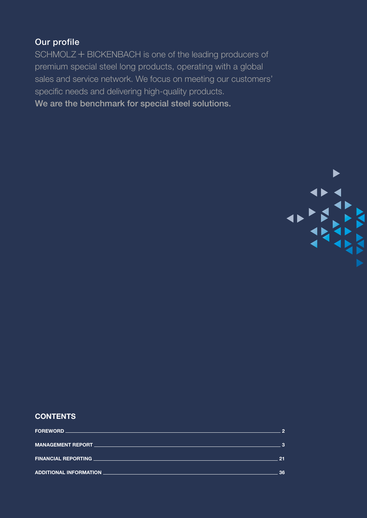### Our profile

SCHMOLZ + BICKENBACH is one of the leading producers of premium special steel long products, operating with a global sales and service network. We focus on meeting our customers' specific needs and delivering high-quality products.

We are the benchmark for special steel solutions.



### CONTENTS

| 21  |
|-----|
| -36 |
|     |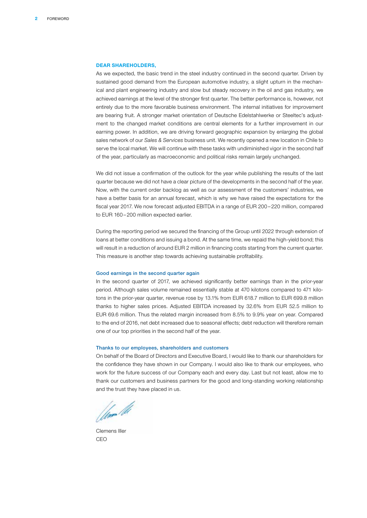#### <span id="page-4-0"></span>DEAR SHAREHOLDERS,

As we expected, the basic trend in the steel industry continued in the second quarter. Driven by sustained good demand from the European automotive industry, a slight upturn in the mechanical and plant engineering industry and slow but steady recovery in the oil and gas industry, we achieved earnings at the level of the stronger first quarter. The better performance is, however, not entirely due to the more favorable business environment. The internal initiatives for improvement are bearing fruit. A stronger market orientation of Deutsche Edelstahlwerke or Steeltec's adjustment to the changed market conditions are central elements for a further improvement in our earning power. In addition, we are driving forward geographic expansion by enlarging the global sales network of our *Sales & Services* business unit. We recently opened a new location in Chile to serve the local market. We will continue with these tasks with undiminished vigor in the second half of the year, particularly as macroeconomic and political risks remain largely unchanged.

We did not issue a confirmation of the outlook for the year while publishing the results of the last quarter because we did not have a clear picture of the developments in the second half of the year. Now, with the current order backlog as well as our assessment of the customers' industries, we have a better basis for an annual forecast, which is why we have raised the expectations for the fiscal year 2017. We now forecast adjusted EBITDA in a range of EUR 200 – 220 million, compared to EUR 160-200 million expected earlier.

During the reporting period we secured the financing of the Group until 2022 through extension of loans at better conditions and issuing a bond. At the same time, we repaid the high-yield bond; this will result in a reduction of around EUR 2 million in financing costs starting from the current quarter. This measure is another step towards achieving sustainable profitability.

### Good earnings in the second quarter again

In the second quarter of 2017, we achieved significantly better earnings than in the prior-year period. Although sales volume remained essentially stable at 470 kilotons compared to 471 kilotons in the prior-year quarter, revenue rose by 13.1% from EUR 618.7 million to EUR 699.8 million thanks to higher sales prices. Adjusted EBITDA increased by 32.6% from EUR 52.5 million to EUR 69.6 million. Thus the related margin increased from 8.5% to 9.9% year on year. Compared to the end of 2016, net debt increased due to seasonal effects; debt reduction will therefore remain one of our top priorities in the second half of the year.

#### Thanks to our employees, shareholders and customers

On behalf of the Board of Directors and Executive Board, I would like to thank our shareholders for the confidence they have shown in our Company. I would also like to thank our employees, who work for the future success of our Company each and every day. Last but not least, allow me to thank our customers and business partners for the good and long-standing working relationship and the trust they have placed in us.

Umr M

Clemens Iller CEO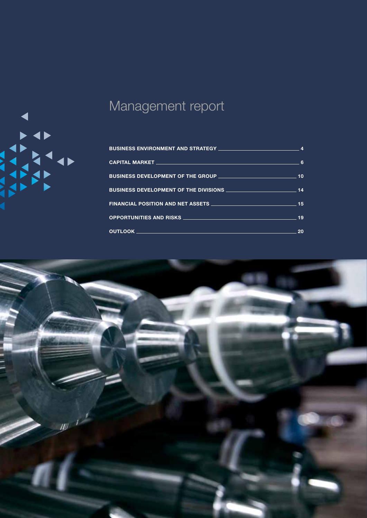<span id="page-5-0"></span>

# Management report

| BUSINESS DEVELOPMENT OF THE GROUP ________________________________ | 10 |
|--------------------------------------------------------------------|----|
|                                                                    |    |
|                                                                    |    |
|                                                                    | 19 |
|                                                                    | 20 |

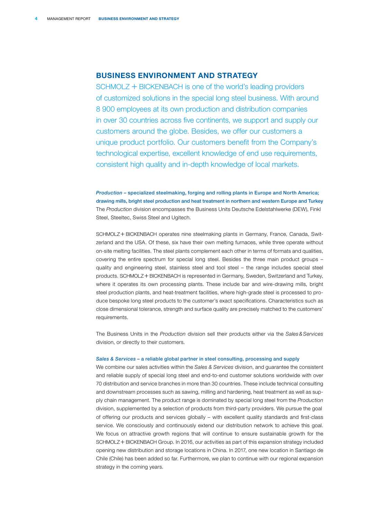### <span id="page-6-0"></span>BUSINESS ENVIRONMENT AND STRATEGY

 $SCHMOLZ + BICKENBACH$  is one of the world's leading providers of customized solutions in the special long steel business. With around 8 900 employees at its own production and distribution companies in over 30 countries across five continents, we support and supply our customers around the globe. Besides, we offer our customers a unique product portfolio. Our customers benefit from the Company's technological expertise, excellent knowledge of end use requirements, consistent high quality and in-depth knowledge of local markets.

*Production* – specialized steelmaking, forging and rolling plants in Europe and North America; drawing mills, bright steel production and heat treatment in northern and western Europe and Turkey The *Production* division encompasses the Business Units Deutsche Edelstahlwerke (DEW), Finkl Steel, Steeltec, Swiss Steel and Ugitech.

SCHMOLZ + BICKENBACH operates nine steelmaking plants in Germany, France, Canada, Switzerland and the USA. Of these, six have their own melting furnaces, while three operate without on-site melting facilities. The steel plants complement each other in terms of formats and qualities, covering the entire spectrum for special long steel. Besides the three main product groups – quality and engineering steel, stainless steel and tool steel – the range includes special steel products. SCHMOLZ + BICKENBACH is represented in Germany, Sweden, Switzerland and Turkey, where it operates its own processing plants. These include bar and wire-drawing mills, bright steel production plants, and heat-treatment facilities, where high-grade steel is processed to produce bespoke long steel products to the customer's exact specifications. Characteristics such as close dimensional tolerance, strength and surface quality are precisely matched to the customers' requirements.

The Business Units in the *Production* division sell their products either via the *Sales&Services* division, or directly to their customers.

### *Sales & Services* – a reliable global partner in steel consulting, processing and supply

We combine our sales activities within the *Sales & Services* division, and guarantee the consistent and reliable supply of special long steel and end-to-end customer solutions worldwide with over 70 distribution and service branches in more than 30 countries. These include technical consulting and downstream processes such as sawing, milling and hardening, heat treatment as well as supply chain management. The product range is dominated by special long steel from the *Production* division, supplemented by a selection of products from third-party providers. We pursue the goal of offering our products and services globally – with excellent quality standards and first-class service. We consciously and continuously extend our distribution network to achieve this goal. We focus on attractive growth regions that will continue to ensure sustainable growth for the SCHMOLZ + BICKENBACH Group. In 2016, our activities as part of this expansion strategy included opening new distribution and storage locations in China. In 2017, one new location in Santiago de Chile (Chile) has been added so far. Furthermore, we plan to continue with our regional expansion strategy in the coming years.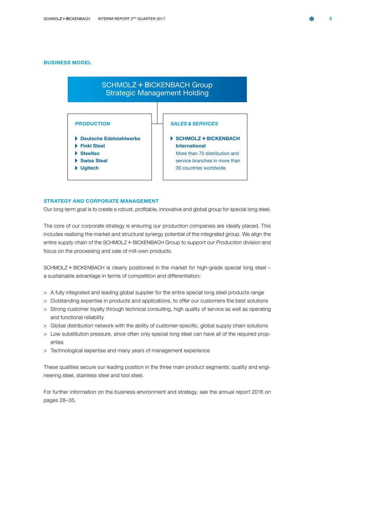### BUSINESS MODEL



### STRATEGY AND CORPORATE MANAGEMENT

Our long-term goal is to create a robust, profitable, innovative and global group for special long steel.

The core of our corporate strategy is ensuring our production companies are ideally placed. This includes realising the market and structural synergy potential of the integrated group. We align the entire supply chain of the SCHMOLZ + BICKENBACH Group to support our *Production* division and focus on the processing and sale of mill-own products.

SCHMOLZ + BICKENBACH is clearly positioned in the market for high-grade special long steel – a sustainable advantage in terms of competition and differentiation:

- > A fully integrated and leading global supplier for the entire special long steel products range
- > Outstanding expertise in products and applications, to offer our customers the best solutions
- > Strong customer loyalty through technical consulting, high quality of service as well as operating and functional reliability
- > Global distribution network with the ability of customer-specific, global supply chain solutions
- > Low substitution pressure, since often only special long steel can have all of the required properties
- > Technological expertise and many years of management experience

These qualities secure our leading position in the three main product segments: quality and engineering steel, stainless steel and tool steel.

For further information on the business environment and strategy, see the annual report 2016 on pages 28–35.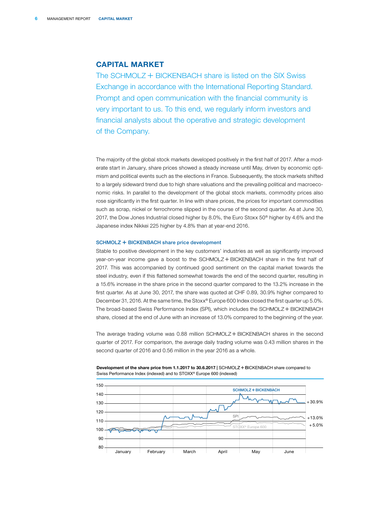### <span id="page-8-0"></span>CAPITAL MARKET

The SCHMOLZ  $+$  BICKENBACH share is listed on the SIX Swiss Exchange in accordance with the International Reporting Standard. Prompt and open communication with the financial community is very important to us. To this end, we regularly inform investors and financial analysts about the operative and strategic development of the Company.

The majority of the global stock markets developed positively in the first half of 2017. After a moderate start in January, share prices showed a steady increase until May, driven by economic optimism and political events such as the elections in France. Subsequently, the stock markets shifted to a largely sideward trend due to high share valuations and the prevailing political and macroeconomic risks. In parallel to the development of the global stock markets, commodity prices also rose significantly in the first quarter. In line with share prices, the prices for important commodities such as scrap, nickel or ferrochrome slipped in the course of the second quarter. As at June 30, 2017, the Dow Jones Industrial closed higher by 8.0%, the Euro Stoxx 50® higher by 4.6% and the Japanese index Nikkei 225 higher by 4.8% than at year-end 2016.

#### SCHMOLZ + BICKENBACH share price development

Stable to positive development in the key customers' industries as well as significantly improved year-on-year income gave a boost to the SCHMOLZ + BICKENBACH share in the first half of 2017. This was accompanied by continued good sentiment on the capital market towards the steel industry, even if this flattened somewhat towards the end of the second quarter, resulting in a 15.6% increase in the share price in the second quarter compared to the 13.2% increase in the first quarter. As at June 30, 2017, the share was quoted at CHF 0.89, 30.9% higher compared to December 31, 2016. At the same time, the Stoxx® Europe 600 Index closed the first quarter up 5.0%. The broad-based Swiss Performance Index (SPI), which includes the SCHMOLZ + BICKENBACH share, closed at the end of June with an increase of 13.0% compared to the beginning of the year.

The average trading volume was  $0.88$  million SCHMOLZ + BICKENBACH shares in the second quarter of 2017. For comparison, the average daily trading volume was 0.43 million shares in the second quarter of 2016 and 0.56 million in the year 2016 as a whole.



Development of the share price from 1.1.2017 to 30.6.2017 | SCHMOLZ + BICKENBACH share compared to Swiss Performance Index (indexed) and to STOXX® Europe 600 (indexed)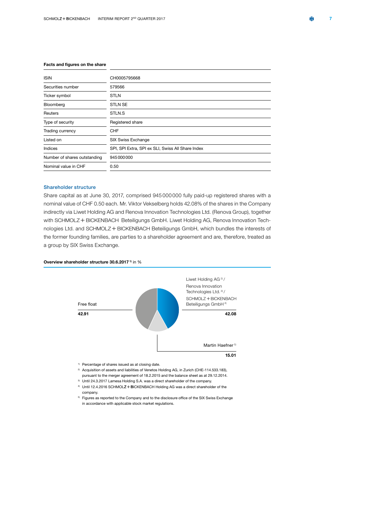### Facts and figures on the share

| <b>ISIN</b>                  | CH0005795668                                      |
|------------------------------|---------------------------------------------------|
| Securities number            | 579566                                            |
| Ticker symbol                | <b>STLN</b>                                       |
| Bloomberg                    | <b>STLN SE</b>                                    |
| Reuters                      | STLN.S                                            |
| Type of security             | Registered share                                  |
| Trading currency             | CHF                                               |
| Listed on                    | SIX Swiss Exchange                                |
| Indices                      | SPI, SPI Extra, SPI ex SLI, Swiss All Share Index |
| Number of shares outstanding | 945000000                                         |
| Nominal value in CHF         | 0.50                                              |

### Shareholder structure

Share capital as at June 30, 2017, comprised 945 000 000 fully paid-up registered shares with a nominal value of CHF 0.50 each. Mr. Viktor Vekselberg holds 42.08% of the shares in the Company indirectly via Liwet Holding AG and Renova Innovation Technologies Ltd. (Renova Group), together with SCHMOLZ + BICKENBACH Beteiligungs GmbH. Liwet Holding AG, Renova Innovation Technologies Ltd. and SCHMOLZ + BICKENBACH Beteiligungs GmbH, which bundles the interests of the former founding families, are parties to a shareholder agreement and are, therefore, treated as a group by SIX Swiss Exchange.

#### Overview shareholder structure 30.6.2017<sup>1</sup> in %



1) Percentage of shares issued as at closing date.

- 2) Acquisition of assets and liabilities of Venetos Holding AG, in Zurich (CHE-114.533.183), pursuant to the merger agreement of 18.2.2015 and the balance sheet as at 29.12.2014.
- 3) Until 24.3.2017 Lamesa Holding S.A. was a direct shareholder of the company.
- <sup>4)</sup> Until 12.4.2016 SCHMOLZ + BICKENBACH Holding AG was a direct shareholder of the company.
- 5) Figures as reported to the Company and to the disclosure office of the SIX Swiss Exchange in accordance with applicable stock market regulations.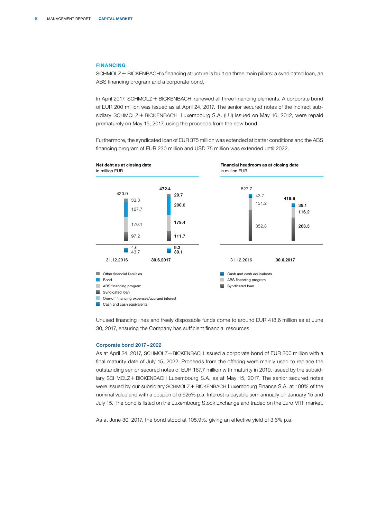### FINANCING

SCHMOLZ + BICKENBACH's financing structure is built on three main pillars: a syndicated loan, an ABS financing program and a corporate bond.

In April 2017, SCHMOLZ  $+$  BICKENBACH renewed all three financing elements. A corporate bond of EUR 200 million was issued as at April 24, 2017. The senior secured notes of the indirect subsidiary SCHMOLZ + BICKENBACH Luxembourg S.A. (LU) issued on May 16, 2012, were repaid prematurely on May 15, 2017, using the proceeds from the new bond.

Furthermore, the syndicated loan of EUR 375 million was extended at better conditions and the ABS financing program of EUR 230 million and USD 75 million was extended until 2022.



Unused financing lines and freely disposable funds come to around EUR 418.6 million as at June 30, 2017, ensuring the Company has sufficient financial resources.

#### Corporate bond 2017 – 2022

As at April 24, 2017, SCHMOLZ+BICKENBACH issued a corporate bond of EUR 200 million with a final maturity date of July 15, 2022. Proceeds from the offering were mainly used to replace the outstanding senior secured notes of EUR 167.7 million with maturity in 2019, issued by the subsidiary SCHMOLZ+BICKENBACH Luxembourg S.A. as at May 15, 2017. The senior secured notes were issued by our subsidiary SCHMOLZ + BICKENBACH Luxembourg Finance S.A. at 100% of the nominal value and with a coupon of 5.625% p.a. Interest is payable semiannually on January 15 and July 15. The bond is listed on the Luxembourg Stock Exchange and traded on the Euro MTF market.

As at June 30, 2017, the bond stood at 105.9%, giving an effective yield of 3.6% p.a.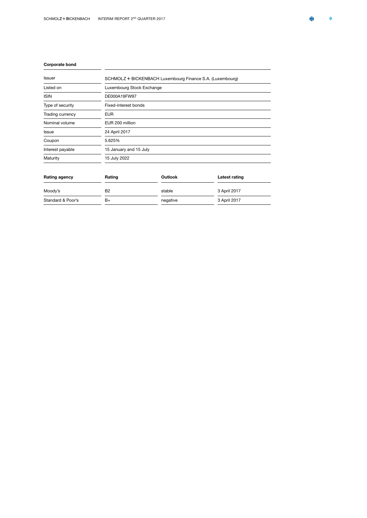### Corporate bond

| Issuer           | SCHMOLZ + BICKENBACH Luxembourg Finance S.A. (Luxembourg) |
|------------------|-----------------------------------------------------------|
| Listed on        | Luxembourg Stock Exchange                                 |
| <b>ISIN</b>      | DE000A19FW97                                              |
| Type of security | Fixed-interest bonds                                      |
| Trading currency | <b>EUR</b>                                                |
| Nominal volume   | EUR 200 million                                           |
| <b>Issue</b>     | 24 April 2017                                             |
| Coupon           | 5.625%                                                    |
| Interest payable | 15 January and 15 July                                    |
| Maturity         | 15 July 2022                                              |
|                  |                                                           |

| Rating agency     | Rating         | Outlook  | Latest rating |  |  |
|-------------------|----------------|----------|---------------|--|--|
| Moody's           | B <sub>2</sub> | stable   | 3 April 2017  |  |  |
| Standard & Poor's | B+             | negative | 3 April 2017  |  |  |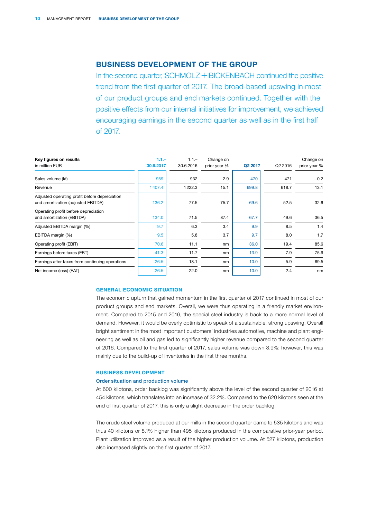### <span id="page-12-0"></span>BUSINESS DEVELOPMENT OF THE GROUP

In the second quarter,  $SCHMOLZ + BICKENBACH$  continued the positive trend from the first quarter of 2017. The broad-based upswing in most of our product groups and end markets continued. Together with the positive effects from our internal initiatives for improvement, we achieved encouraging earnings in the second quarter as well as in the first half of 2017.

| Key figures on results                                                              | $1.1 -$   | $1.1 -$   | Change on    |         |         | Change on    |
|-------------------------------------------------------------------------------------|-----------|-----------|--------------|---------|---------|--------------|
| in million EUR                                                                      | 30.6.2017 | 30.6.2016 | prior year % | Q2 2017 | Q2 2016 | prior year % |
| Sales volume (kt)                                                                   | 959       | 932       | 2.9          | 470     | 471     | $-0.2$       |
| Revenue                                                                             | 1407.4    | 1222.3    | 15.1         | 699.8   | 618.7   | 13.1         |
| Adjusted operating profit before depreciation<br>and amortization (adjusted EBITDA) | 136.2     | 77.5      | 75.7         | 69.6    | 52.5    | 32.6         |
| Operating profit before depreciation<br>and amortization (EBITDA)                   | 134.0     | 71.5      | 87.4         | 67.7    | 49.6    | 36.5         |
| Adjusted EBITDA margin (%)                                                          | 9.7       | 6.3       | 3.4          | 9.9     | 8.5     | 1.4          |
| EBITDA margin (%)                                                                   | 9.5       | 5.8       | 3.7          | 9.7     | 8.0     | 1.7          |
| Operating profit (EBIT)                                                             | 70.6      | 11.1      | nm           | 36.0    | 19.4    | 85.6         |
| Earnings before taxes (EBT)                                                         | 41.3      | $-11.7$   | nm           | 13.9    | 7.9     | 75.9         |
| Earnings after taxes from continuing operations                                     | 26.5      | $-18.1$   | nm           | 10.0    | 5.9     | 69.5         |
| Net income (loss) (EAT)                                                             | 26.5      | $-22.0$   | nm           | 10.0    | 2.4     | nm           |

### GENERAL ECONOMIC SITUATION

The economic upturn that gained momentum in the first quarter of 2017 continued in most of our product groups and end markets. Overall, we were thus operating in a friendly market environment. Compared to 2015 and 2016, the special steel industry is back to a more normal level of demand. However, it would be overly optimistic to speak of a sustainable, strong upswing. Overall bright sentiment in the most important customers' industries automotive, machine and plant engineering as well as oil and gas led to significantly higher revenue compared to the second quarter of 2016. Compared to the first quarter of 2017, sales volume was down 3.9%; however, this was mainly due to the build-up of inventories in the first three months.

### BUSINESS DEVELOPMENT

### Order situation and production volume

At 600 kilotons, order backlog was significantly above the level of the second quarter of 2016 at 454 kilotons, which translates into an increase of 32.2%. Compared to the 620 kilotons seen at the end of first quarter of 2017, this is only a slight decrease in the order backlog.

The crude steel volume produced at our mills in the second quarter came to 535 kilotons and was thus 40 kilotons or 8.1% higher than 495 kilotons produced in the comparative prior-year period. Plant utilization improved as a result of the higher production volume. At 527 kilotons, production also increased slightly on the first quarter of 2017.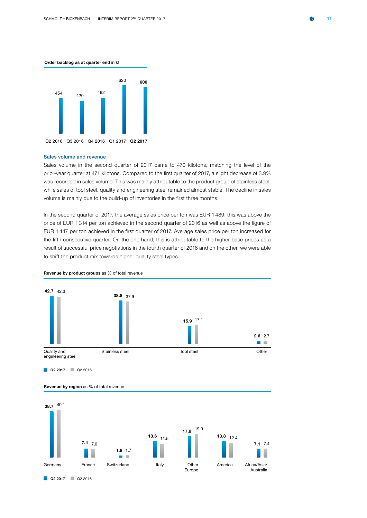#### Order backlog as at quarter end in kt



#### Sales volume and revenue

Sales volume in the second quarter of 2017 came to 470 kilotons, matching the level of the prior-year quarter at 471 kilotons. Compared to the first quarter of 2017, a slight decrease of 3.9% was recorded in sales volume. This was mainly attributable to the product group of stainless steel, while sales of tool steel, quality and engineering steel remained almost stable. The decline in sales volume is mainly due to the build-up of inventories in the first three months.

In the second quarter of 2017, the average sales price per ton was EUR 1 489, this was above the price of EUR 1 314 per ton achieved in the second quarter of 2016 as well as above the figure of EUR 1 447 per ton achieved in the first quarter of 2017. Average sales price per ton increased for the fifth consecutive quarter. On the one hand, this is attributable to the higher base prices as a result of successful price negotiations in the fourth quarter of 2016 and on the other, we were able to shift the product mix towards higher quality steel types.



Revenue by product groups as % of total revenue

Q2 2017 Q2 2016



### Revenue by region as % of total revenue

Q2 2017 Q2 2016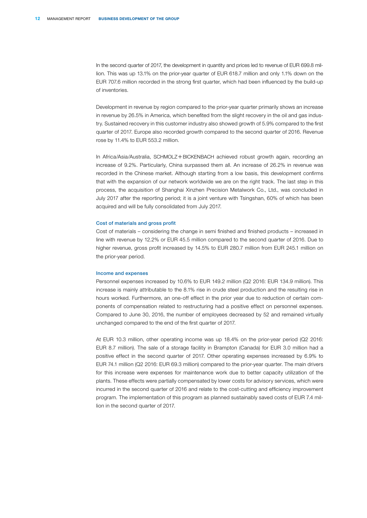In the second quarter of 2017, the development in quantity and prices led to revenue of EUR 699.8 million. This was up 13.1% on the prior-year quarter of EUR 618.7 million and only 1.1% down on the EUR 707.6 million recorded in the strong first quarter, which had been influenced by the build-up of inventories.

Development in revenue by region compared to the prior-year quarter primarily shows an increase in revenue by 26.5% in America, which benefited from the slight recovery in the oil and gas industry. Sustained recovery in this customer industry also showed growth of 5.9% compared to the first quarter of 2017. Europe also recorded growth compared to the second quarter of 2016. Revenue rose by 11.4% to EUR 553.2 million.

In Africa/Asia/Australia, SCHMOLZ+BICKENBACH achieved robust growth again, recording an increase of 9.2%. Particularly, China surpassed them all. An increase of 26.2% in revenue was recorded in the Chinese market. Although starting from a low basis, this development confirms that with the expansion of our network worldwide we are on the right track. The last step in this process, the acquisition of Shanghai Xinzhen Precision Metalwork Co., Ltd., was concluded in July 2017 after the reporting period; it is a joint venture with Tsingshan, 60% of which has been acquired and will be fully consolidated from July 2017.

#### Cost of materials and gross profit

Cost of materials – considering the change in semi finished and finished products – increased in line with revenue by 12.2% or EUR 45.5 million compared to the second quarter of 2016. Due to higher revenue, gross profit increased by 14.5% to EUR 280.7 million from EUR 245.1 million on the prior-year period.

#### Income and expenses

Personnel expenses increased by 10.6% to EUR 149.2 million (Q2 2016: EUR 134.9 million). This increase is mainly attributable to the 8.1% rise in crude steel production and the resulting rise in hours worked. Furthermore, an one-off effect in the prior year due to reduction of certain components of compensation related to restructuring had a positive effect on personnel expenses. Compared to June 30, 2016, the number of employees decreased by 52 and remained virtually unchanged compared to the end of the first quarter of 2017.

At EUR 10.3 million, other operating income was up 18.4% on the prior-year period (Q2 2016: EUR 8.7 million). The sale of a storage facility in Brampton (Canada) for EUR 3.0 million had a positive effect in the second quarter of 2017. Other operating expenses increased by 6.9% to EUR 74.1 million (Q2 2016: EUR 69.3 million) compared to the prior-year quarter. The main drivers for this increase were expenses for maintenance work due to better capacity utilization of the plants. These effects were partially compensated by lower costs for advisory services, which were incurred in the second quarter of 2016 and relate to the cost-cutting and efficiency improvement program. The implementation of this program as planned sustainably saved costs of EUR 7.4 million in the second quarter of 2017.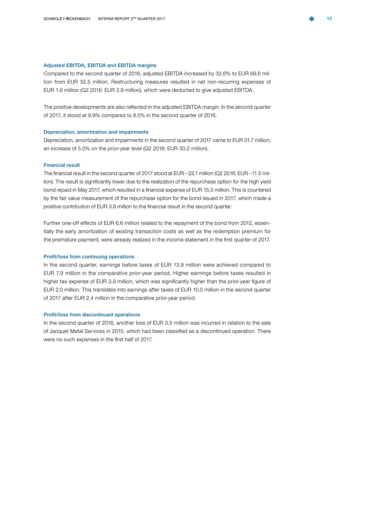### Adjusted EBITDA, EBITDA and EBITDA margins

Compared to the second quarter of 2016, adjusted EBITDA increased by 32.6% to EUR 69.6 million from EUR 52.5 million. Restructuring measures resulted in net non-recurring expenses of EUR 1.9 million (Q2 2016: EUR 2.9 million), which were deducted to give adjusted EBITDA.

The positive developments are also reflected in the adjusted EBITDA margin: In the second quarter of 2017, it stood at 9.9% compared to 8.5% in the second quarter of 2016.

### Depreciation, amortization and impairments

Depreciation, amortization and impairments in the second quarter of 2017 came to EUR 31.7 million, an increase of 5.0% on the prior-year level (Q2 2016: EUR 30.2 million).

#### Financial result

The financial result in the second quarter of 2017 stood at EUR –22.1 million (Q2 2016: EUR –11.5 million). The result is significantly lower due to the realization of the repurchase option for the high yield bond repaid in May 2017, which resulted in a financial expense of EUR 15.5 million. This is countered by the fair value measurement of the repurchase option for the bond issued in 2017, which made a positive contribution of EUR 3.6 million to the financial result in the second quarter.

Further one-off effects of EUR 6.6 million related to the repayment of the bond from 2012, essentially the early amortization of existing transaction costs as well as the redemption premium for the premature payment, were already realized in the income statement in the first quarter of 2017.

#### Profit/loss from continuing operations

In the second quarter, earnings before taxes of EUR 13.9 million were achieved compared to EUR 7.9 million in the comparative prior-year period. Higher earnings before taxes resulted in higher tax expense of EUR 3.9 million, which was significantly higher than the prior-year figure of EUR 2.0 million. This translates into earnings after taxes of EUR 10.0 million in the second quarter of 2017 after EUR 2.4 million in the comparative prior-year period.

### Profit/loss from discontinued operations

In the second quarter of 2016, another loss of EUR 3.5 million was incurred in relation to the sale of Jacquet Metal Services in 2015, which had been classified as a discontinued operation. There were no such expenses in the first half of 2017.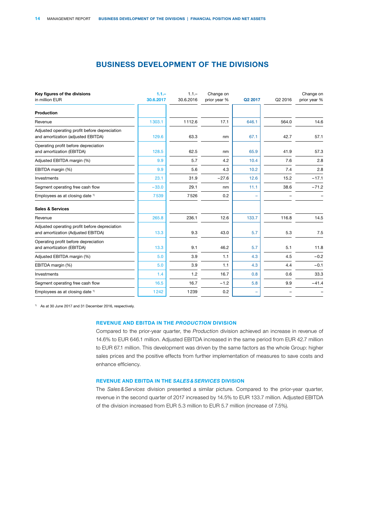### BUSINESS DEVELOPMENT OF THE DIVISIONS

<span id="page-16-0"></span>

| Key figures of the divisions<br>in million EUR                                      | $1.1 -$<br>30.6.2017 | $1.1 -$<br>30.6.2016 | Change on<br>prior year % | Q2 2017 | Q2 2016 | Change on<br>prior year % |
|-------------------------------------------------------------------------------------|----------------------|----------------------|---------------------------|---------|---------|---------------------------|
| Production                                                                          |                      |                      |                           |         |         |                           |
| Revenue                                                                             | 1303.1               | 1112.6               | 17.1                      | 646.1   | 564.0   | 14.6                      |
| Adjusted operating profit before depreciation<br>and amortization (adjusted EBITDA) | 129.6                | 63.3                 | nm                        | 67.1    | 42.7    | 57.1                      |
| Operating profit before depreciation<br>and amortization (EBITDA)                   | 128.5                | 62.5                 | nm                        | 65.9    | 41.9    | 57.3                      |
| Adjusted EBITDA margin (%)                                                          | 9.9                  | 5.7                  | 4.2                       | 10.4    | 7.6     | 2.8                       |
| EBITDA margin (%)                                                                   | 9.9                  | 5.6                  | 4.3                       | 10.2    | 7.4     | 2.8                       |
| Investments                                                                         | 23.1                 | 31.9                 | $-27.6$                   | 12.6    | 15.2    | $-17.1$                   |
| Segment operating free cash flow                                                    | $-33.0$              | 29.1                 | nm                        | 11.1    | 38.6    | $-71.2$                   |
| Employees as at closing date <sup>1)</sup>                                          | 7539                 | 7526                 | 0.2                       |         |         |                           |
| <b>Sales &amp; Services</b>                                                         |                      |                      |                           |         |         |                           |
| Revenue                                                                             | 265.8                | 236.1                | 12.6                      | 133.7   | 116.8   | 14.5                      |
| Adjusted operating profit before depreciation<br>and amortization (Adjusted EBITDA) | 13.3                 | 9.3                  | 43.0                      | 5.7     | 5.3     | 7.5                       |
| Operating profit before depreciation<br>and amortization (EBITDA)                   | 13.3                 | 9.1                  | 46.2                      | 5.7     | 5.1     | 11.8                      |
| Adjusted EBITDA margin (%)                                                          | 5.0                  | 3.9                  | 1.1                       | 4.3     | 4.5     | $-0.2$                    |
| EBITDA margin (%)                                                                   | 5.0                  | 3.9                  | 1.1                       | 4.3     | 4.4     | $-0.1$                    |
| Investments                                                                         | 1.4                  | 1.2                  | 16.7                      | 0.8     | 0.6     | 33.3                      |
| Segment operating free cash flow                                                    | 16.5                 | 16.7                 | $-1.2$                    | 5.8     | 9.9     | $-41.4$                   |
| Employees as at closing date <sup>1)</sup>                                          | 1242                 | 1239                 | 0.2                       |         |         |                           |

1) As at 30 June 2017 and 31 December 2016, respectively.

### REVENUE AND EBITDA IN THE *PRODUCTION* DIVISION

Compared to the prior-year quarter, the *Productio*n division achieved an increase in revenue of 14.6% to EUR 646.1 million. Adjusted EBITDA increased in the same period from EUR 42.7 million to EUR 67.1 million. This development was driven by the same factors as the whole Group: higher sales prices and the positive effects from further implementation of measures to save costs and enhance efficiency.

### REVENUE AND EBITDA IN THE *SALES&SERVICES* DIVISION

The *Sales&Services* division presented a similar picture. Compared to the prior-year quarter, revenue in the second quarter of 2017 increased by 14.5% to EUR 133.7 million. Adjusted EBITDA of the division increased from EUR 5.3 million to EUR 5.7 million (increase of 7.5%).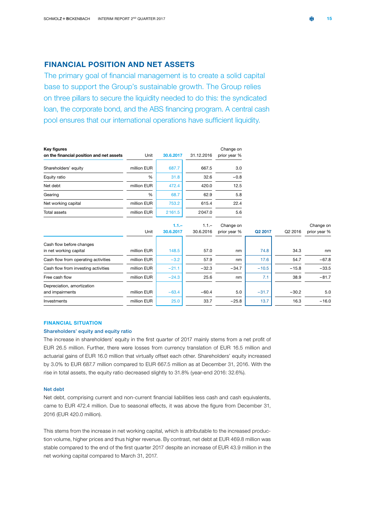### <span id="page-17-0"></span>FINANCIAL POSITION AND NET ASSETS

The primary goal of financial management is to create a solid capital base to support the Group's sustainable growth. The Group relies on three pillars to secure the liquidity needed to do this: the syndicated loan, the corporate bond, and the ABS financing program. A central cash pool ensures that our international operations have sufficient liquidity.

| Key figures                              |             |           |            | Change on    |         |         |              |
|------------------------------------------|-------------|-----------|------------|--------------|---------|---------|--------------|
| on the financial position and net assets | Unit        | 30.6.2017 | 31.12.2016 | prior year % |         |         |              |
| Shareholders' equity                     | million EUR | 687.7     | 667.5      | 3.0          |         |         |              |
| Equity ratio                             | %           | 31.8      | 32.6       | $-0.8$       |         |         |              |
| Net debt                                 | million EUR | 472.4     | 420.0      | 12.5         |         |         |              |
| Gearing                                  | %           | 68.7      | 62.9       | 5.8          |         |         |              |
| Net working capital                      | million EUR | 753.2     | 615.4      | 22.4         |         |         |              |
| Total assets                             | million EUR | 2161.5    | 2047.0     | 5.6          |         |         |              |
|                                          |             | $1.1 -$   | $1.1 -$    | Change on    |         |         | Change on    |
|                                          | Unit        | 30.6.2017 | 30.6.2016  | prior year % | Q2 2017 | Q2 2016 | prior year % |
| Cash flow before changes                 |             |           |            |              |         |         |              |
| in net working capital                   | million EUR | 148.5     | 57.0       | nm           | 74.8    | 34.3    | nm           |
| Cash flow from operating activities      | million EUR | $-3.2$    | 57.9       | nm           | 17.6    | 54.7    | $-67.8$      |
| Cash flow from investing activities      | million EUR | $-21.1$   | $-32.3$    | $-34.7$      | $-10.5$ | $-15.8$ | $-33.5$      |
| Free cash flow                           | million EUR | $-24.3$   | 25.6       | nm           | 7.1     | 38.9    | $-81.7$      |
| Depreciation, amortization               |             |           |            |              |         |         |              |
| and impairments                          | million EUR | $-63.4$   | $-60.4$    | 5.0          | $-31.7$ | $-30.2$ | 5.0          |
| Investments                              | million EUR | 25.0      | 33.7       | $-25.8$      | 13.7    | 16.3    | $-16.0$      |
|                                          |             |           |            |              |         |         |              |

### FINANCIAL SITUATION

### Shareholders' equity and equity ratio

The increase in shareholders' equity in the first quarter of 2017 mainly stems from a net profit of EUR 26.5 million. Further, there were losses from currency translation of EUR 16.5 million and actuarial gains of EUR 16.0 million that virtually offset each other. Shareholders' equity increased by 3.0% to EUR 687.7 million compared to EUR 667.5 million as at December 31, 2016. With the rise in total assets, the equity ratio decreased slightly to 31.8% (year-end 2016: 32.6%).

### Net debt

Net debt, comprising current and non-current financial liabilities less cash and cash equivalents, came to EUR 472.4 million. Due to seasonal effects, it was above the figure from December 31, 2016 (EUR 420.0 million).

This stems from the increase in net working capital, which is attributable to the increased production volume, higher prices and thus higher revenue. By contrast, net debt at EUR 469.8 million was stable compared to the end of the first quarter 2017 despite an increase of EUR 43.9 million in the net working capital compared to March 31, 2017.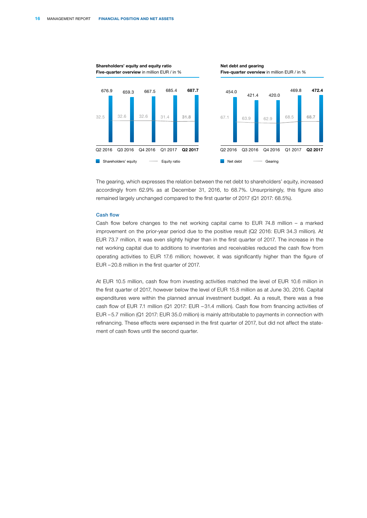

The gearing, which expresses the relation between the net debt to shareholders' equity, increased accordingly from 62.9% as at December 31, 2016, to 68.7%. Unsurprisingly, this figure also remained largely unchanged compared to the first quarter of 2017 (Q1 2017: 68.5%).

### Cash flow

Cash flow before changes to the net working capital came to EUR 74.8 million – a marked improvement on the prior-year period due to the positive result (Q2 2016: EUR 34.3 million). At EUR 73.7 million, it was even slightly higher than in the first quarter of 2017. The increase in the net working capital due to additions to inventories and receivables reduced the cash flow from operating activities to EUR 17.6 million; however, it was significantly higher than the figure of EUR – 20.8 million in the first quarter of 2017.

At EUR 10.5 million, cash flow from investing activities matched the level of EUR 10.6 million in the first quarter of 2017, however below the level of EUR 15.8 million as at June 30, 2016. Capital expenditures were within the planned annual investment budget. As a result, there was a free cash flow of EUR 7.1 million (Q1 2017: EUR – 31.4 million). Cash flow from financing activities of EUR – 5.7 million (Q1 2017: EUR 35.0 million) is mainly attributable to payments in connection with refinancing. These effects were expensed in the first quarter of 2017, but did not affect the statement of cash flows until the second quarter.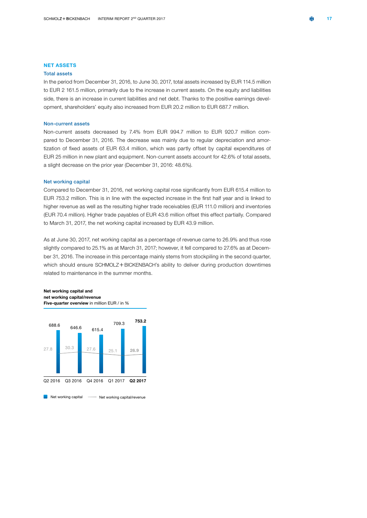#### NET ASSETS

### Total assets

In the period from December 31, 2016, to June 30, 2017, total assets increased by EUR 114.5 million to EUR 2 161.5 million, primarily due to the increase in current assets. On the equity and liabilities side, there is an increase in current liabilities and net debt. Thanks to the positive earnings development, shareholders' equity also increased from EUR 20.2 million to EUR 687.7 million.

#### Non-current assets

Non-current assets decreased by 7.4% from EUR 994.7 million to EUR 920.7 million compared to December 31, 2016. The decrease was mainly due to regular depreciation and amortization of fixed assets of EUR 63.4 million, which was partly offset by capital expenditures of EUR 25 million in new plant and equipment. Non-current assets account for 42.6% of total assets, a slight decrease on the prior year (December 31, 2016: 48.6%).

### Net working capital

Compared to December 31, 2016, net working capital rose significantly from EUR 615.4 million to EUR 753.2 million. This is in line with the expected increase in the first half year and is linked to higher revenue as well as the resulting higher trade receivables (EUR 111.0 million) and inventories (EUR 70.4 million). Higher trade payables of EUR 43.6 million offset this effect partially. Compared to March 31, 2017, the net working capital increased by EUR 43.9 million.

As at June 30, 2017, net working capital as a percentage of revenue came to 26.9% and thus rose slightly compared to 25.1% as at March 31, 2017; however, it fell compared to 27.6% as at December 31, 2016. The increase in this percentage mainly stems from stockpiling in the second quarter, which should ensure SCHMOLZ+BICKENBACH's ability to deliver during production downtimes related to maintenance in the summer months.

#### Net working capital and net working capital/revenue Five-quarter overview in million EUR / in %

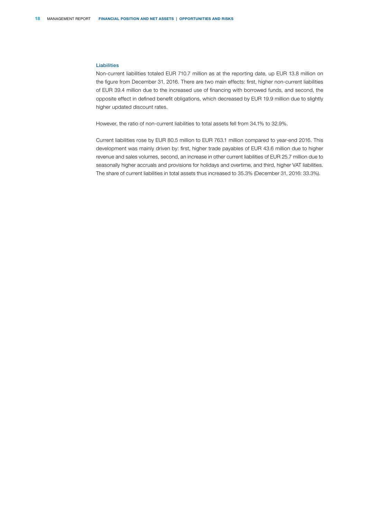### Liabilities

Non-current liabilities totaled EUR 710.7 million as at the reporting date, up EUR 13.8 million on the figure from December 31, 2016. There are two main effects: first, higher non-current liabilities of EUR 39.4 million due to the increased use of financing with borrowed funds, and second, the opposite effect in defined benefit obligations, which decreased by EUR 19.9 million due to slightly higher updated discount rates.

However, the ratio of non-current liabilities to total assets fell from 34.1% to 32.9%.

Current liabilities rose by EUR 80.5 million to EUR 763.1 million compared to year-end 2016. This development was mainly driven by: first, higher trade payables of EUR 43.6 million due to higher revenue and sales volumes, second, an increase in other current liabilities of EUR 25.7 million due to seasonally higher accruals and provisions for holidays and overtime, and third, higher VAT liabilities. The share of current liabilities in total assets thus increased to 35.3% (December 31, 2016: 33.3%).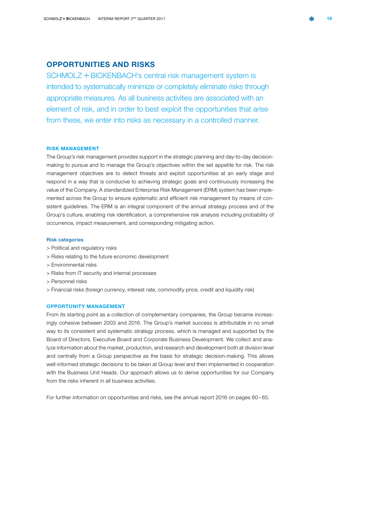### <span id="page-21-0"></span>OPPORTUNITIES AND RISKS

SCHMOLZ + BICKENBACH's central risk management system is intended to systematically minimize or completely eliminate risks through appropriate measures. As all business activities are associated with an element of risk, and in order to best exploit the opportunities that arise from these, we enter into risks as necessary in a controlled manner.

### RISK MANAGEMENT

The Group's risk management provides support in the strategic planning and day-to-day decisionmaking to pursue and to manage the Group's objectives within the set appetite for risk. The risk management objectives are to detect threats and exploit opportunities at an early stage and respond in a way that is conducive to achieving strategic goals and continuously increasing the value of the Company. A standardized Enterprise Risk Management (ERM) system has been implemented across the Group to ensure systematic and efficient risk management by means of consistent guidelines. The ERM is an integral component of the annual strategy process and of the Group's culture, enabling risk identification, a comprehensive risk analysis including probability of occurrence, impact measurement, and corresponding mitigating action.

### Risk categories

- > Political and regulatory risks
- > Risks relating to the future economic development
- > Environmental risks
- > Risks from IT security and internal processes
- > Personnel risks
- > Financial risks (foreign currency, interest rate, commodity price, credit and liquidity risk)

### OPPORTUNITY MANAGEMENT

From its starting point as a collection of complementary companies, the Group became increasingly cohesive between 2003 and 2016. The Group's market success is attributable in no small way to its consistent and systematic strategy process, which is managed and supported by the Board of Directors, Executive Board and Corporate Business Development. We collect and analyze information about the market, production, and research and development both at division level and centrally from a Group perspective as the basis for strategic decision-making. This allows well-informed strategic decisions to be taken at Group level and then implemented in cooperation with the Business Unit Heads. Our approach allows us to derive opportunities for our Company from the risks inherent in all business activities.

For further information on opportunities and risks, see the annual report 2016 on pages 60 – 65.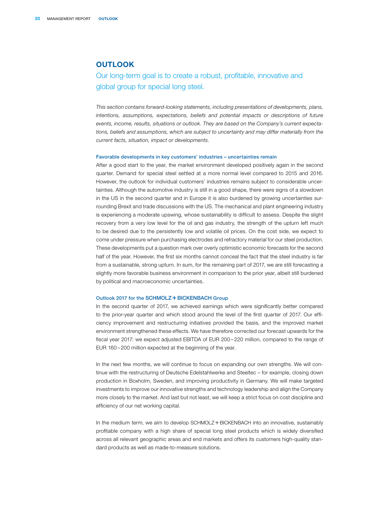### <span id="page-22-0"></span>**OUTLOOK**

### Our long-term goal is to create a robust, profitable, innovative and global group for special long steel.

*This section contains forward-looking statements, including presentations of developments, plans, intentions, assumptions, expectations, beliefs and potential impacts or descriptions of future events, income, results, situations or outlook. They are based on the Company's current expectations, beliefs and assumptions, which are subject to uncertainty and may differ materially from the current facts, situation, impact or developments.*

#### Favorable developments in key customers' industries – uncertainties remain

After a good start to the year, the market environment developed positively again in the second quarter. Demand for special steel settled at a more normal level compared to 2015 and 2016. However, the outlook for individual customers' industries remains subject to considerable uncertainties. Although the automotive industry is still in a good shape, there were signs of a slowdown in the US in the second quarter and in Europe it is also burdened by growing uncertainties surrounding Brexit and trade discussions with the US. The mechanical and plant engineering industry is experiencing a moderate upswing, whose sustainability is difficult to assess. Despite the slight recovery from a very low level for the oil and gas industry, the strength of the upturn left much to be desired due to the persistently low and volatile oil prices. On the cost side, we expect to come under pressure when purchasing electrodes and refractory material for our steel production. These developments put a question mark over overly optimistic economic forecasts for the second half of the year. However, the first six months cannot conceal the fact that the steel industry is far from a sustainable, strong upturn. In sum, for the remaining part of 2017, we are still forecasting a slightly more favorable business environment in comparison to the prior year, albeit still burdened by political and macroeconomic uncertainties.

#### Outlook 2017 for the SCHMOLZ + BICKENBACH Group

In the second quarter of 2017, we achieved earnings which were significantly better compared to the prior-year quarter and which stood around the level of the first quarter of 2017. Our efficiency improvement and restructuring initiatives provided the basis, and the improved market environment strengthened these effects. We have therefore corrected our forecast upwards for the fiscal year 2017: we expect adjusted EBITDA of EUR 200-220 million, compared to the range of EUR 160 – 200 million expected at the beginning of the year.

In the next few months, we will continue to focus on expanding our own strengths. We will continue with the restructuring of Deutsche Edelstahlwerke and Steeltec – for example, closing down production in Boxholm, Sweden, and improving productivity in Germany. We will make targeted investments to improve our innovative strengths and technology leadership and align the Company more closely to the market. And last but not least, we will keep a strict focus on cost discipline and efficiency of our net working capital.

In the medium term, we aim to develop  $SCHMOLZ + BICKENBACH$  into an innovative, sustainably profitable company with a high share of special long steel products which is widely diversified across all relevant geographic areas and end markets and offers its customers high-quality standard products as well as made-to-measure solutions.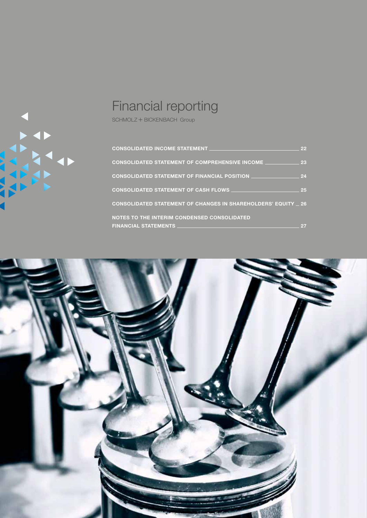<span id="page-23-0"></span>

## Financial reporting

SCHMOLZ + BICKENBACH Group

| <b>CONSOLIDATED INCOME STATEMENT</b>                                  | 22 |
|-----------------------------------------------------------------------|----|
| <b>CONSOLIDATED STATEMENT OF COMPREHENSIVE INCOME _</b>               | 23 |
| <b>CONSOLIDATED STATEMENT OF FINANCIAL POSITION _</b>                 | 24 |
| <b>CONSOLIDATED STATEMENT OF CASH FLOWS</b>                           | 25 |
| <b>CONSOLIDATED STATEMENT OF CHANGES IN SHAREHOLDERS' EQUITY _ 26</b> |    |
| <b>NOTES TO THE INTERIM CONDENSED CONSOLIDATED</b>                    |    |
| <b>FINANCIAL STATEMENTS</b>                                           |    |

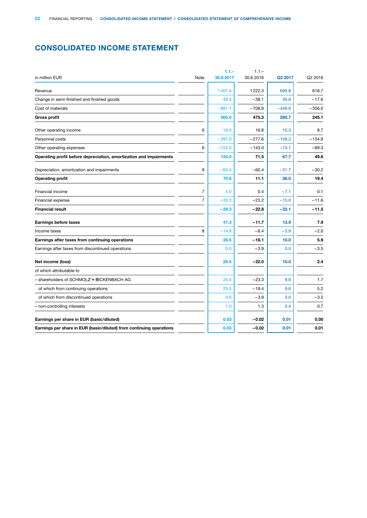### <span id="page-24-0"></span>CONSOLIDATED INCOME STATEMENT

| in million EUR                                                       | Note           | $1.1 -$<br>30.6.2017 | $1.1 -$<br>30.6.2016 | Q <sub>2</sub> 2017 | Q2 2016  |
|----------------------------------------------------------------------|----------------|----------------------|----------------------|---------------------|----------|
|                                                                      |                |                      |                      |                     |          |
| Revenue                                                              |                | 1407.4               | 1222.3               | 699.8               | 618.7    |
| Change in semi-finished and finished goods                           |                | 49.3                 | $-38.1$              | 30.8                | $-17.6$  |
| Cost of materials                                                    |                | $-891.7$             | $-708.9$             | $-449.9$            | $-356.0$ |
| <b>Gross profit</b>                                                  |                | 565.0                | 475.3                | 280.7               | 245.1    |
| Other operating income                                               | 6              | 18.0                 | 16.8                 | 10.3                | 8.7      |
| Personnel costs                                                      |                | $-297.0$             | $-277.6$             | $-149.2$            | $-134.9$ |
| Other operating expenses                                             | 6              | $-152.0$             | $-143.0$             | $-74.1$             | $-69.3$  |
| Operating profit before depreciation, amortization and impairments   |                | 134.0                | 71.5                 | 67.7                | 49.6     |
| Depreciation, amortization and impairments                           | 9              | $-63.4$              | $-60.4$              | $-31.7$             | $-30.2$  |
| <b>Operating profit</b>                                              |                | 70.6                 | 11.1                 | 36.0                | 19.4     |
| Financial income                                                     | $\overline{7}$ | 4.0                  | 0.4                  | $-7.1$              | 0.1      |
| Financial expense                                                    | $\overline{7}$ | $-33.3$              | $-23.2$              | $-15.0$             | $-11.6$  |
| <b>Financial result</b>                                              |                | $-29.3$              | $-22.8$              | $-22.1$             | $-11.5$  |
| <b>Earnings before taxes</b>                                         |                | 41.3                 | $-11.7$              | 13.9                | 7.9      |
| Income taxes                                                         | 8              | $-14.8$              | $-6.4$               | $-3.9$              | $-2.0$   |
| Earnings after taxes from continuing operations                      |                | 26.5                 | $-18.1$              | 10.0                | 5.9      |
| Earnings after taxes from discontinued operations                    |                | 0.0                  | $-3.9$               | 0.0                 | $-3.5$   |
| Net income (loss)                                                    |                | 26.5                 | $-22.0$              | 10.0                | 2.4      |
| of which attributable to                                             |                |                      |                      |                     |          |
| - shareholders of SCHMOLZ + BICKENBACH AG                            |                | 25.5                 | $-23.3$              | 9.6                 | 1.7      |
| of which from continuing operations                                  |                | 25.5                 | $-19.4$              | 9.6                 | 5.2      |
| of which from discontinued operations                                |                | 0.0                  | $-3.9$               | 0.0                 | $-3.5$   |
| - non-controlling interests                                          |                | 1.0                  | 1.3                  | 0.4                 | 0.7      |
| Earnings per share in EUR (basic/diluted)                            |                | 0.03                 | $-0.02$              | 0.01                | 0.00     |
| Earnings per share in EUR (basic/diluted) from continuing operations |                | 0.03                 | $-0.02$              | 0.01                | 0.01     |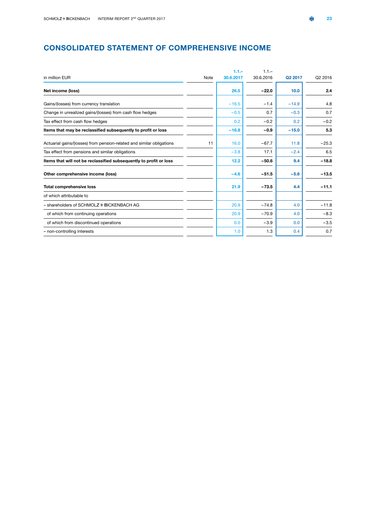### <span id="page-25-0"></span>CONSOLIDATED STATEMENT OF COMPREHENSIVE INCOME

|                                                                       |      | $1.1 -$   | $1.1 -$   |         |         |
|-----------------------------------------------------------------------|------|-----------|-----------|---------|---------|
| in million EUR                                                        | Note | 30.6.2017 | 30.6.2016 | Q2 2017 | Q2 2016 |
| Net income (loss)                                                     |      | 26.5      | $-22.0$   | 10.0    | 2.4     |
| Gains/(losses) from currency translation                              |      | $-16.5$   | $-1.4$    | $-14.9$ | 4.8     |
| Change in unrealized gains/(losses) from cash flow hedges             |      | $-0.5$    | 0.7       | $-0.3$  | 0.7     |
| Tax effect from cash flow hedges                                      |      | 0.2       | $-0.2$    | 0.2     | $-0.2$  |
| Items that may be reclassified subsequently to profit or loss         |      | $-16.8$   | $-0.9$    | $-15.0$ | 5.3     |
| Actuarial gains/(losses) from pension-related and similar obligations | 11   | 16.0      | $-67.7$   | 11.8    | $-25.3$ |
| Tax effect from pensions and similar obligations                      |      | $-3.8$    | 17.1      | $-2.4$  | 6.5     |
| Items that will not be reclassified subsequently to profit or loss    |      | 12.2      | $-50.6$   | 9.4     | $-18.8$ |
| Other comprehensive income (loss)                                     |      | $-4.6$    | $-51.5$   | $-5.6$  | $-13.5$ |
| <b>Total comprehensive loss</b>                                       |      | 21.9      | $-73.5$   | 4.4     | $-11.1$ |
| of which attributable to                                              |      |           |           |         |         |
| - shareholders of SCHMOLZ + BICKENBACH AG                             |      | 20.9      | $-74.8$   | 4.0     | $-11.8$ |
| of which from continuing operations                                   |      | 20.9      | $-70.9$   | 4.0     | $-8.3$  |
| of which from discontinued operations                                 |      | 0.0       | $-3.9$    | 0.0     | $-3.5$  |
| - non-controlling interests                                           |      | 1.0       | 1.3       | 0.4     | 0.7     |
|                                                                       |      |           |           |         |         |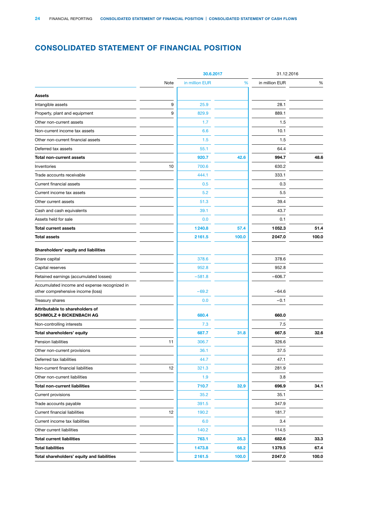### <span id="page-26-0"></span>CONSOLIDATED STATEMENT OF FINANCIAL POSITION

|                                                                                   |      | 30.6.2017      |       | 31.12.2016     |       |
|-----------------------------------------------------------------------------------|------|----------------|-------|----------------|-------|
|                                                                                   | Note | in million EUR | %     | in million EUR | %     |
| <b>Assets</b>                                                                     |      |                |       |                |       |
| Intangible assets                                                                 | 9    | 25.9           |       | 28.1           |       |
| Property, plant and equipment                                                     | 9    | 829.9          |       | 889.1          |       |
| Other non-current assets                                                          |      | 1.7            |       | 1.5            |       |
| Non-current income tax assets                                                     |      | 6.6            |       | 10.1           |       |
| Other non-current financial assets                                                |      | 1.5            |       | 1.5            |       |
| Deferred tax assets                                                               |      | 55.1           |       | 64.4           |       |
| <b>Total non-current assets</b>                                                   |      | 920.7          | 42.6  | 994.7          | 48.6  |
| Inventories                                                                       | 10   | 700.6          |       | 630.2          |       |
| Trade accounts receivable                                                         |      | 444.1          |       | 333.1          |       |
| Current financial assets                                                          |      | 0.5            |       | 0.3            |       |
| Current income tax assets                                                         |      | 5.2            |       | 5.5            |       |
| Other current assets                                                              |      | 51.3           |       | 39.4           |       |
| Cash and cash equivalents                                                         |      | 39.1           |       | 43.7           |       |
| Assets held for sale                                                              |      | 0.0            |       | 0.1            |       |
| <b>Total current assets</b>                                                       |      | 1240.8         | 57.4  | 1052.3         | 51.4  |
| <b>Total assets</b>                                                               |      | 2161.5         | 100.0 | 2047.0         | 100.0 |
| Shareholders' equity and liabilities                                              |      |                |       |                |       |
| Share capital                                                                     |      | 378.6          |       | 378.6          |       |
| Capital reserves                                                                  |      | 952.8          |       | 952.8          |       |
| Retained earnings (accumulated losses)                                            |      | $-581.8$       |       | $-606.7$       |       |
| Accumulated income and expense recognized in<br>other comprehensive income (loss) |      | $-69.2$        |       | $-64.6$        |       |
| Treasury shares                                                                   |      | 0.0            |       | $-0.1$         |       |
| Attributable to shareholders of<br><b>SCHMOLZ + BICKENBACH AG</b>                 |      | 680.4          |       | 660.0          |       |
| Non-controlling interests                                                         |      | 7.3            |       | 7.5            |       |
| Total shareholders' equity                                                        |      | 687.7          | 31.8  | 667.5          | 32.6  |
| <b>Pension liabilities</b>                                                        | 11   | 306.7          |       | 326.6          |       |
| Other non-current provisions                                                      |      | 36.1           |       | 37.5           |       |
| Deferred tax liabilities                                                          |      | 44.7           |       | 47.1           |       |
| Non-current financial liabilities                                                 | 12   | 321.3          |       | 281.9          |       |
| Other non-current liabilities                                                     |      | 1.9            |       | 3.8            |       |
| <b>Total non-current liabilities</b>                                              |      | 710.7          | 32.9  | 696.9          | 34.1  |
| Current provisions                                                                |      | 35.2           |       | 35.1           |       |
| Trade accounts payable                                                            |      | 391.5          |       | 347.9          |       |
| <b>Current financial liabilities</b>                                              | 12   | 190.2          |       | 181.7          |       |
| Current income tax liabilities                                                    |      | 6.0            |       | 3.4            |       |
| Other current liabilities                                                         |      | 140.2          |       | 114.5          |       |
| <b>Total current liabilities</b>                                                  |      | 763.1          | 35.3  | 682.6          | 33.3  |
| <b>Total liabilities</b>                                                          |      | 1473.8         | 68.2  | 1379.5         | 67.4  |
| Total shareholders' equity and liabilities                                        |      | 2161.5         | 100.0 | 2047.0         | 100.0 |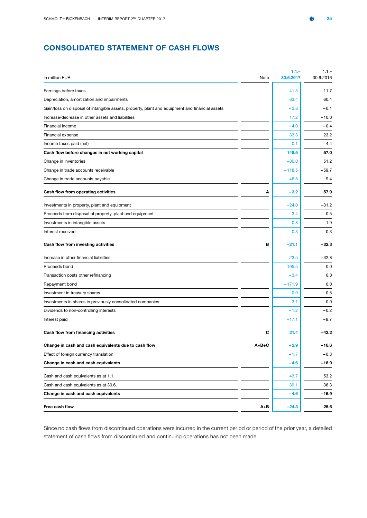### <span id="page-27-0"></span>CONSOLIDATED STATEMENT OF CASH FLOWS

|                                                                                                |         | $1.1 -$   | $1.1 -$   |
|------------------------------------------------------------------------------------------------|---------|-----------|-----------|
| in million EUR                                                                                 | Note    | 30.6.2017 | 30.6.2016 |
| Earnings before taxes                                                                          |         | 41.3      | $-11.7$   |
| Depreciation, amortization and impairments                                                     |         | 63.4      | 60.4      |
| Gain/loss on disposal of intangible assets, property, plant and equipment and financial assets |         | $-2.8$    | $-0.1$    |
| Increase/decrease in other assets and liabilities                                              |         | 17.2      | $-10.0$   |
| Financial income                                                                               |         | $-4.0$    | $-0.4$    |
| Financial expense                                                                              |         | 33.3      | 23.2      |
| Income taxes paid (net)                                                                        |         | 0.1       | $-4.4$    |
| Cash flow before changes in net working capital                                                |         | 148.5     | 57.0      |
| Change in inventories                                                                          |         | $-80.0$   | 51.2      |
| Change in trade accounts receivable                                                            |         | -118.5    | $-59.7$   |
| Change in trade accounts payable                                                               |         | 46.8      | 9.4       |
| Cash flow from operating activities                                                            | A       | $-3.2$    | 57.9      |
| Investments in property, plant and equipment                                                   |         | $-24.0$   | $-31.2$   |
| Proceeds from disposal of property, plant and equipment                                        |         | 3.4       | 0.5       |
| Investments in intangible assets                                                               |         | $-0.8$    | $-1.9$    |
| Interest received                                                                              |         | 0.3       | 0.3       |
| Cash flow from investing activities                                                            | в       | $-21.1$   | $-32.3$   |
| Increase in other financial liabilities                                                        |         | 23.5      | $-32.8$   |
| Proceeds bond                                                                                  |         | 195.5     | 0.0       |
| Transaction costs other refinancing                                                            |         | $-3.4$    | 0.0       |
| Repayment bond                                                                                 |         | $-171.9$  | 0.0       |
| Investment in treasury shares                                                                  |         | $-0.9$    | $-0.5$    |
| Investments in shares in previously consolidated companies                                     |         | $-3.1$    | 0.0       |
| Dividends to non-controlling interests                                                         |         | $-1.2$    | $-0.2$    |
| Interest paid                                                                                  |         | $-17.1$   | $-8.7$    |
| Cash flow from financing activities                                                            | С       | 21.4      | $-42.2$   |
| Change in cash and cash equivalents due to cash flow                                           | $A+B+C$ | $-2.9$    | -16.6     |
| Effect of foreign currency translation                                                         |         | $-1.7$    | $-0.3$    |
| Change in cash and cash equivalents                                                            |         | $-4.6$    | $-16.9$   |
| Cash and cash equivalents as at 1.1.                                                           |         | 43.7      | 53.2      |
| Cash and cash equivalents as at 30.6.                                                          |         | 39.1      | 36.3      |
| Change in cash and cash equivalents                                                            |         | $-4.6$    | $-16.9$   |
| Free cash flow                                                                                 | A+B     | $-24.3$   | 25.6      |

Since no cash flows from discontinued operations were incurred in the current period or period of the prior year, a detailed statement of cash flows from discontinued and continuing operations has not been made.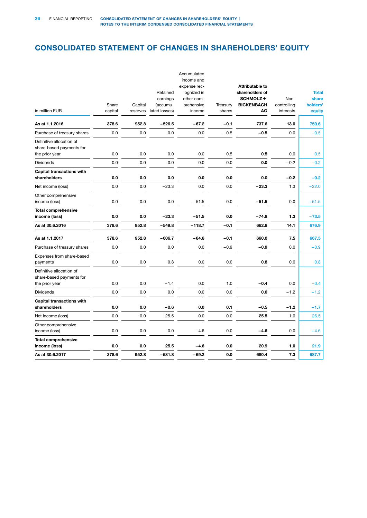### <span id="page-28-0"></span>CONSOLIDATED STATEMENT OF CHANGES IN SHAREHOLDERS' EQUITY

| in million EUR                                                         | Share   | Capital  | Retained<br>earnings<br>(accumu- | Accumulated<br>income and<br>expense rec-<br>ognized in<br>other com-<br>prehensive | Treasury<br>shares | Attributable to<br>shareholders of<br>SCHMOLZ+<br><b>BICKENBACH</b><br>AG | Non-<br>controlling<br>interests | <b>Total</b><br>share<br>holders' |
|------------------------------------------------------------------------|---------|----------|----------------------------------|-------------------------------------------------------------------------------------|--------------------|---------------------------------------------------------------------------|----------------------------------|-----------------------------------|
|                                                                        | capital | reserves | lated losses)                    | income                                                                              |                    |                                                                           |                                  | equity                            |
| As at 1.1.2016                                                         | 378.6   | 952.8    | $-526.5$                         | $-67.2$                                                                             | $-0.1$             | 737.6                                                                     | 13.0                             | 750.6                             |
| Purchase of treasury shares                                            | 0.0     | 0.0      | 0.0                              | 0.0                                                                                 | $-0.5$             | $-0.5$                                                                    | 0.0                              | $-0.5$                            |
| Definitive allocation of<br>share-based payments for<br>the prior year | 0.0     | 0.0      | 0.0                              | 0.0                                                                                 | 0.5                | 0.5                                                                       | 0.0                              | 0.5                               |
| <b>Dividends</b>                                                       | 0.0     | 0.0      | 0.0                              | 0.0                                                                                 | 0.0                | 0.0                                                                       | $-0.2$                           | $-0.2$                            |
| <b>Capital transactions with</b>                                       |         |          |                                  |                                                                                     |                    |                                                                           |                                  |                                   |
| shareholders                                                           | 0.0     | 0.0      | 0.0                              | 0.0                                                                                 | 0.0                | 0.0                                                                       | $-0.2$                           | $-0.2$                            |
| Net income (loss)                                                      | 0.0     | 0.0      | $-23.3$                          | 0.0                                                                                 | 0.0                | $-23.3$                                                                   | 1.3                              | $-22.0$                           |
| Other comprehensive<br>income (loss)                                   | 0.0     | 0.0      | 0.0                              | $-51.5$                                                                             | 0.0                | $-51.5$                                                                   | 0.0                              | $-51.5$                           |
| <b>Total comprehensive</b><br>income (loss)                            | 0.0     | 0.0      | $-23.3$                          | $-51.5$                                                                             | 0.0                | $-74.8$                                                                   | 1.3                              | $-73.5$                           |
| As at 30.6.2016                                                        | 378.6   | 952.8    | $-549.8$                         | $-118.7$                                                                            | $-0.1$             | 662.8                                                                     | 14.1                             | 676.9                             |
| As at 1.1.2017                                                         | 378.6   | 952.8    | $-606.7$                         | $-64.6$                                                                             | $-0.1$             | 660.0                                                                     | 7.5                              | 667.5                             |
| Purchase of treasury shares                                            | 0.0     | 0.0      | 0.0                              | 0.0                                                                                 | $-0.9$             | $-0.9$                                                                    | 0.0                              | $-0.9$                            |
| Expenses from share-based<br>payments                                  | 0.0     | 0.0      | 0.8                              | 0.0                                                                                 | 0.0                | 0.8                                                                       | 0.0                              | 0.8                               |
| Definitive allocation of<br>share-based payments for<br>the prior year | 0.0     | 0.0      | $-1.4$                           | 0.0                                                                                 | 1.0                | $-0.4$                                                                    | 0.0                              | $-0.4$                            |
| <b>Dividends</b>                                                       | 0.0     | 0.0      | 0.0                              | 0.0                                                                                 | 0.0                | 0.0                                                                       | $-1.2$                           | $-1.2$                            |
| <b>Capital transactions with</b>                                       |         |          |                                  |                                                                                     |                    |                                                                           |                                  |                                   |
| shareholders                                                           | 0.0     | 0.0      | $-0.6$                           | 0.0                                                                                 | 0.1                | $-0.5$                                                                    | $-1.2$                           | $-1.7$                            |
| Net income (loss)                                                      | 0.0     | 0.0      | 25.5                             | 0.0                                                                                 | 0.0                | 25.5                                                                      | 1.0                              | 26.5                              |
| Other comprehensive<br>income (loss)                                   | 0.0     | 0.0      | 0.0                              | $-4.6$                                                                              | 0.0                | $-4.6$                                                                    | 0.0                              | $-4.6$                            |
| <b>Total comprehensive</b><br>income (loss)                            | 0.0     | 0.0      | 25.5                             | $-4.6$                                                                              | 0.0                | 20.9                                                                      | 1.0                              | 21.9                              |
| As at 30.6.2017                                                        | 378.6   | 952.8    | $-581.8$                         | $-69.2$                                                                             | 0.0                | 680.4                                                                     | 7.3                              | 687.7                             |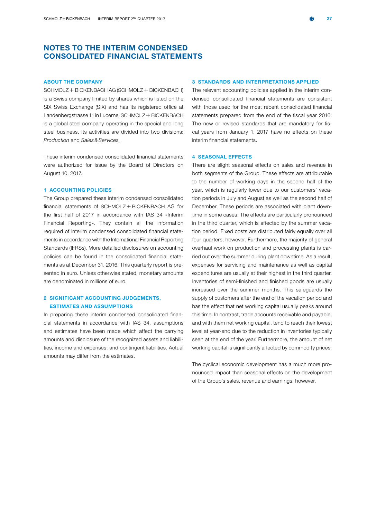### <span id="page-29-0"></span>NOTES TO THE INTERIM CONDENSED CONSOLIDATED FINANCIAL STATEMENTS

#### ABOUT THE COMPANY

 $SCHMOLZ + BICKENBACH AG (SCHMOLZ + BICKENBACH)$ is a Swiss company limited by shares which is listed on the SIX Swiss Exchange (SIX) and has its registered office at Landenbergstrasse 11 in Lucerne. SCHMOLZ + BICKENBACH is a global steel company operating in the special and long steel business. Its activities are divided into two divisions: *Production* and *Sales&Services.*

These interim condensed consolidated financial statements were authorized for issue by the Board of Directors on August 10, 2017.

### 1 ACCOUNTING POLICIES

The Group prepared these interim condensed consolidated financial statements of SCHMOLZ + BICKENBACH AG for the first half of 2017 in accordance with IAS 34 «Interim Financial Reporting». They contain all the information required of interim condensed consolidated financial statements in accordance with the International Financial Reporting Standards (IFRSs). More detailed disclosures on accounting policies can be found in the consolidated financial statements as at December 31, 2016. This quarterly report is presented in euro. Unless otherwise stated, monetary amounts are denominated in millions of euro.

### 2 SIGNIFICANT ACCOUNTING JUDGEMENTS, ESTIMATES AND ASSUMPTIONS

In preparing these interim condensed consolidated financial statements in accordance with IAS 34, assumptions and estimates have been made which affect the carrying amounts and disclosure of the recognized assets and liabilities, income and expenses, and contingent liabilities. Actual amounts may differ from the estimates.

#### 3 STANDARDS AND INTERPRETATIONS APPLIED

The relevant accounting policies applied in the interim condensed consolidated financial statements are consistent with those used for the most recent consolidated financial statements prepared from the end of the fiscal year 2016. The new or revised standards that are mandatory for fiscal years from January 1, 2017 have no effects on these interim financial statements.

#### 4 SEASONAL EFFECTS

There are slight seasonal effects on sales and revenue in both segments of the Group. These effects are attributable to the number of working days in the second half of the year, which is regularly lower due to our customers' vacation periods in July and August as well as the second half of December. These periods are associated with plant downtime in some cases. The effects are particularly pronounced in the third quarter, which is affected by the summer vacation period. Fixed costs are distributed fairly equally over all four quarters, however. Furthermore, the majority of general overhaul work on production and processing plants is carried out over the summer during plant downtime. As a result, expenses for servicing and maintenance as well as capital expenditures are usually at their highest in the third quarter. Inventories of semi-finished and finished goods are usually increased over the summer months. This safeguards the supply of customers after the end of the vacation period and has the effect that net working capital usually peaks around this time. In contrast, trade accounts receivable and payable, and with them net working capital, tend to reach their lowest level at year-end due to the reduction in inventories typically seen at the end of the year. Furthermore, the amount of net working capital is significantly affected by commodity prices.

The cyclical economic development has a much more pronounced impact than seasonal effects on the development of the Group's sales, revenue and earnings, however.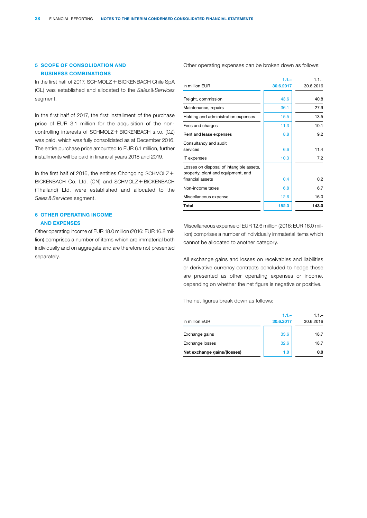### 5 SCOPE OF CONSOLIDATION AND BUSINESS COMBINATIONS

In the first half of 2017, SCHMOLZ  $+$  BICKENBACH Chile SpA (CL) was established and allocated to the *Sales&Services* segment.

In the first half of 2017, the first installment of the purchase price of EUR 3.1 million for the acquisition of the noncontrolling interests of SCHMOLZ + BICKENBACH s.r.o. (CZ) was paid, which was fully consolidated as at December 2016. The entire purchase price amounted to EUR 6.1 million, further installments will be paid in financial years 2018 and 2019.

In the first half of 2016, the entities Chongqing SCHMOLZ $+$ BICKENBACH Co. Ltd. (CN) and SCHMOLZ + BICKENBACH (Thailand) Ltd. were established and allocated to the *Sales&Services* segment.

### 6 OTHER OPERATING INCOME AND EXPENSES

Other operating income of EUR 18.0 million (2016: EUR 16.8 million) comprises a number of items which are immaterial both individually and on aggregate and are therefore not presented separately.

Other operating expenses can be broken down as follows:

| $1.1 -$   | $1.1 -$    |
|-----------|------------|
| 30.6.2017 | 30.6.2016  |
| 43.6      | 40.8       |
| 36.1      | 27.9       |
| 15.5      | 13.5       |
| 11.3      | 10.1       |
| 8.8       | 9.2        |
| 6.6       | 11.4       |
| 10.3      | 7.2        |
|           | 0.2        |
|           |            |
|           | 6.7        |
| 12.6      | 16.0       |
| 152.0     | 143.0      |
|           | 0.4<br>6.8 |

Miscellaneous expense of EUR 12.6 million (2016: EUR 16.0 million) comprises a number of individually immaterial items which cannot be allocated to another category.

All exchange gains and losses on receivables and liabilities or derivative currency contracts concluded to hedge these are presented as other operating expenses or income, depending on whether the net figure is negative or positive.

The net figures break down as follows:

| in million EUR              | $1.1 -$<br>30.6.2017 | $1.1 -$<br>30.6.2016 |
|-----------------------------|----------------------|----------------------|
| Exchange gains              | 33.6                 | 18.7                 |
| <b>Exchange losses</b>      | 32.6                 | 18.7                 |
| Net exchange gains/(losses) | 1.0                  | 0.0                  |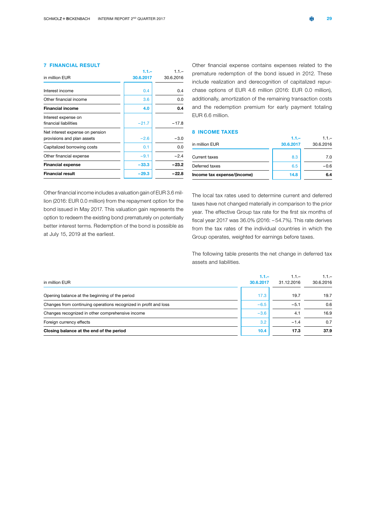### 7 FINANCIAL RESULT

| in million EUR                                                | $1.1 -$<br>30.6.2017 | $1.1 -$<br>30.6.2016 |
|---------------------------------------------------------------|----------------------|----------------------|
|                                                               |                      |                      |
| Interest income                                               | 0.4                  | 0.4                  |
| Other financial income                                        | 3.6                  | 0.0                  |
| <b>Financial income</b>                                       | 4.0                  | 0.4                  |
| Interest expense on<br>financial liabilities                  | $-21.7$              | $-17.8$              |
| Net interest expense on pension<br>provisions and plan assets | $-2.6$               | $-3.0$               |
| Capitalized borrowing costs                                   | 0.1                  | 0.0                  |
| Other financial expense                                       | $-9.1$               | $-2.4$               |
| <b>Financial expense</b>                                      | $-33.3$              | $-23.2$              |
| <b>Financial result</b>                                       | $-29.3$              | $-22.8$              |

Other financial expense contains expenses related to the premature redemption of the bond issued in 2012. These include realization and derecognition of capitalized repurchase options of EUR 4.6 million (2016: EUR 0.0 million), additionally, amortization of the remaining transaction costs and the redemption premium for early payment totaling EUR 6.6 million.

### 8 INCOME TAXES

1.1.–

| in million EUR              | $1.1 -$<br>30.6.2017 | $1.1 -$<br>30.6.2016 |
|-----------------------------|----------------------|----------------------|
| Current taxes               | 8.3                  | 7.0                  |
| Deferred taxes              | 6.5                  | $-0.6$               |
| Income tax expense/(income) | 14.8                 | 6.4                  |

Other financial income includes a valuation gain of EUR 3.6 million (2016: EUR 0.0 million) from the repayment option for the bond issued in May 2017. This valuation gain represents the option to redeem the existing bond prematurely on potentially better interest terms. Redemption of the bond is possible as at July 15, 2019 at the earliest.

The local tax rates used to determine current and deferred taxes have not changed materially in comparison to the prior year. The effective Group tax rate for the first six months of fiscal year 2017 was 36.0% (2016: – 54.7%). This rate derives from the tax rates of the individual countries in which the Group operates, weighted for earnings before taxes.

The following table presents the net change in deferred tax assets and liabilities.

| in million EUR                                                   | $1.1 -$<br>30.6.2017 | $1.1 -$<br>31.12.2016 | $1.1 -$<br>30.6.2016 |
|------------------------------------------------------------------|----------------------|-----------------------|----------------------|
| Opening balance at the beginning of the period                   | 17.3                 | 19.7                  | 19.7                 |
| Changes from continuing operations recognized in profit and loss | $-6.5$               | $-5.1$                | 0.6                  |
| Changes recognized in other comprehensive income                 | $-3.6$               | 4.1                   | 16.9                 |
| Foreign currency effects                                         | 3.2                  | $-1.4$                | 0.7                  |
| Closing balance at the end of the period                         | 10.4                 | 17.3                  | 37.9                 |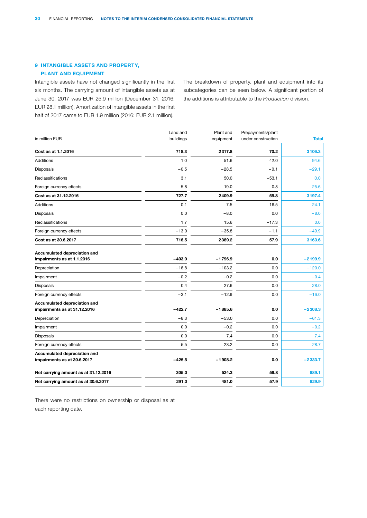### 9 INTANGIBLE ASSETS AND PROPERTY, PLANT AND EQUIPMENT

Intangible assets have not changed significantly in the first six months. The carrying amount of intangible assets as at June 30, 2017 was EUR 25.9 million (December 31, 2016: EUR 28.1 million). Amortization of intangible assets in the first half of 2017 came to EUR 1.9 million (2016: EUR 2.1 million).

The breakdown of property, plant and equipment into its subcategories can be seen below. A significant portion of the additions is attributable to the *Production* division*.*

| in million EUR                                               | Land and<br>buildings | Plant and<br>equipment | Prepayments/plant<br>under construction | <b>Total</b> |
|--------------------------------------------------------------|-----------------------|------------------------|-----------------------------------------|--------------|
| Cost as at 1.1.2016                                          | 718.3                 | 2317.8                 | 70.2                                    | 3106.3       |
| <b>Additions</b>                                             | 1.0                   | 51.6                   | 42.0                                    | 94.6         |
| Disposals                                                    | $-0.5$                | $-28.5$                | $-0.1$                                  | $-29.1$      |
| Reclassifications                                            | 3.1                   | 50.0                   | $-53.1$                                 | 0.0          |
| Foreign currency effects                                     | 5.8                   | 19.0                   | 0.8                                     | 25.6         |
| Cost as at 31.12.2016                                        | 727.7                 | 2409.9                 | 59.8                                    | 3197.4       |
| <b>Additions</b>                                             | 0.1                   | 7.5                    | 16.5                                    | 24.1         |
| Disposals                                                    | 0.0                   | $-8.0$                 | 0.0                                     | $-8.0$       |
| <b>Reclassifications</b>                                     | 1.7                   | 15.6                   | $-17.3$                                 | 0.0          |
| Foreign currency effects                                     | $-13.0$               | $-35.8$                | $-1.1$                                  | $-49.9$      |
| Cost as at 30.6.2017                                         | 716.5                 | 2389.2                 | 57.9                                    | 3163.6       |
| Accumulated depreciation and<br>impairments as at 1.1.2016   | $-403.0$              | $-1796.9$              | 0.0                                     | $-2199.9$    |
| Depreciation                                                 | $-16.8$               | $-103.2$               | 0.0                                     | $-120.0$     |
| Impairment                                                   | $-0.2$                | $-0.2$                 | 0.0                                     | $-0.4$       |
| Disposals                                                    | 0.4                   | 27.6                   | 0.0                                     | 28.0         |
| Foreign currency effects                                     | $-3.1$                | $-12.9$                | 0.0                                     | $-16.0$      |
| Accumulated depreciation and<br>impairments as at 31.12.2016 | $-422.7$              | $-1885.6$              | 0.0                                     | $-2308.3$    |
| Depreciation                                                 | $-8.3$                | $-53.0$                | 0.0                                     | $-61.3$      |
| Impairment                                                   | 0.0                   | $-0.2$                 | 0.0                                     | $-0.2$       |
| Disposals                                                    | 0.0                   | 7.4                    | 0.0                                     | 7.4          |
| Foreign currency effects                                     | 5.5                   | 23.2                   | 0.0                                     | 28.7         |
| Accumulated depreciation and<br>impairments as at 30.6.2017  | $-425.5$              | $-1908.2$              | 0.0                                     | $-2333.7$    |
| Net carrying amount as at 31.12.2016                         | 305.0                 | 524.3                  | 59.8                                    | 889.1        |
| Net carrying amount as at 30.6.2017                          | 291.0                 | 481.0                  | 57.9                                    | 829.9        |

There were no restrictions on ownership or disposal as at each reporting date.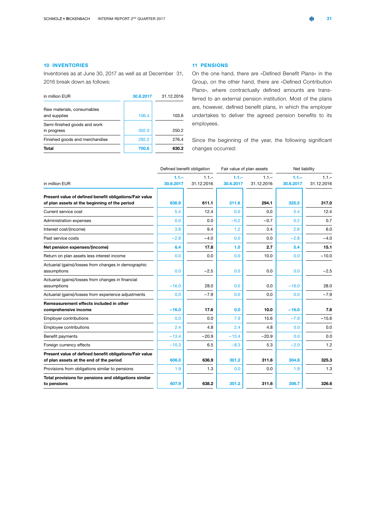### 10 INVENTORIES

Inventories as at June 30, 2017 as well as at December 31, 2016 break down as follows:

| in million EUR                              | 30.6.2017 | 31.12.2016 |
|---------------------------------------------|-----------|------------|
| Raw materials, consumables<br>and supplies  | 106.4     | 103.6      |
| Semi-finished goods and work<br>in progress | 302.0     | 250.2      |
| Finished goods and merchandise              | 292.2     | 276.4      |
| Total                                       | 700.6     | 630.2      |

### 11 PENSIONS

On the one hand, there are «Defined Benefit Plans» in the Group, on the other hand, there are «Defined Contribution Plans», where contractually defined amounts are transferred to an external pension institution. Most of the plans are, however, defined benefit plans, in which the employer undertakes to deliver the agreed pension benefits to its employees.

Since the beginning of the year, the following significant changes occurred:

|                                                                                                          | Defined benefit obligation |                       | Fair value of plan assets |                       | Net liability        |                       |
|----------------------------------------------------------------------------------------------------------|----------------------------|-----------------------|---------------------------|-----------------------|----------------------|-----------------------|
| in million EUR                                                                                           | $1.1 -$<br>30.6.2017       | $1.1 -$<br>31.12.2016 | $1.1 -$<br>30.6.2017      | $1.1 -$<br>31.12.2016 | $1.1 -$<br>30.6.2017 | $1.1 -$<br>31.12.2016 |
| Present value of defined benefit obligations/Fair value<br>of plan assets at the beginning of the period | 636.9                      | 611.1                 | 311.6                     | 294.1                 | 325.3                | 317.0                 |
| Current service cost                                                                                     | 5.4                        | 12.4                  | 0.0                       | 0.0                   | 5.4                  | 12.4                  |
| Administration expenses                                                                                  | 0.0                        | 0.0                   | $-0.2$                    | $-0.7$                | 0.2                  | 0.7                   |
| Interest cost/(income)                                                                                   | 3.8                        | 9.4                   | 1.2                       | 3.4                   | 2.6                  | 6.0                   |
| Past service costs                                                                                       | $-2.8$                     | $-4.0$                | 0.0                       | 0.0                   | $-2.8$               | $-4.0$                |
| Net pension expenses/(income)                                                                            | 6.4                        | 17.8                  | 1.0                       | 2.7                   | 5.4                  | 15.1                  |
| Return on plan assets less interest income                                                               | 0.0                        | 0.0                   | 0.0                       | 10.0                  | 0.0                  | $-10.0$               |
| Actuarial (gains)/losses from changes in demographic<br>assumptions                                      | 0.0                        | $-2.5$                | 0.0                       | 0.0                   | 0.0                  | $-2.5$                |
| Actuarial (gains)/losses from changes in financial<br>assumptions                                        | $-16.0$                    | 28.0                  | 0.0                       | 0.0                   | $-16.0$              | 28.0                  |
| Actuarial (gains)/losses from experience adjustments                                                     | 0.0                        | $-7.9$                | 0.0                       | 0.0                   | 0.0                  | $-7.9$                |
| Remeasurement effects included in other<br>comprehensive income                                          | $-16.0$                    | 17.6                  | 0.0                       | 10.0                  | $-16.0$              | 7.6                   |
| Employer contributions                                                                                   | 0.0                        | 0.0                   | 7.9                       | 15.6                  | $-7.9$               | $-15.6$               |
| Employee contributions                                                                                   | 2.4                        | 4.8                   | 2.4                       | 4.8                   | 0.0                  | 0.0                   |
| Benefit payments                                                                                         | $-13.4$                    | $-20.9$               | $-13.4$                   | $-20.9$               | 0.0                  | 0.0                   |
| Foreign currency effects                                                                                 | $-10.3$                    | 6.5                   | $-8.3$                    | 5.3                   | $-2.0$               | 1.2                   |
| Present value of defined benefit obligations/Fair value<br>of plan assets at the end of the period       | 606.0                      | 636.9                 | 301.2                     | 311.6                 | 304.8                | 325.3                 |
| Provisions from obligations similar to pensions                                                          | 1.9                        | 1.3                   | 0.0                       | 0.0                   | 1.9                  | 1.3                   |
| Total provisions for pensions and obligations similar<br>to pensions                                     | 607.9                      | 638.2                 | 301.2                     | 311.6                 | 306.7                | 326.6                 |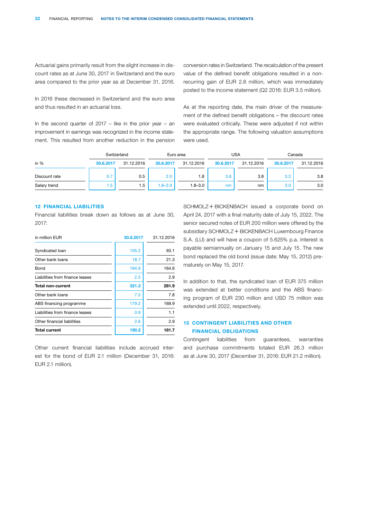Actuarial gains primarily result from the slight increase in discount rates as at June 30, 2017 in Switzerland and the euro area compared to the prior year as at December 31, 2016.

In 2016 these decreased in Switzerland and the euro area and thus resulted in an actuarial loss.

In the second quarter of  $2017$  – like in the prior year – an improvement in earnings was recognized in the income statement. This resulted from another reduction in the pension conversion rates in Switzerland. The recalculation of the present value of the defined benefit obligations resulted in a nonrecurring gain of EUR 2.8 million, which was immediately posted to the income statement (Q2 2016: EUR 3.5 million).

As at the reporting date, the main driver of the measurement of the defined benefit obligations – the discount rates were evaluated critically. These were adjusted if not within the appropriate range. The following valuation assumptions were used.

|               | Switzerland |            |             | Euro area   |           | USA        | Canada           |            |  |
|---------------|-------------|------------|-------------|-------------|-----------|------------|------------------|------------|--|
| in $%$        | 30.6.2017   | 31.12.2016 | 30.6.2017   | 31.12.2016  | 30.6.2017 | 31.12.2016 | 30.6.2017        | 31.12.2016 |  |
| Discount rate |             | 0.5        | 2.0         | 1.8         | 3.6       | 3.8        | 3.3 <sub>2</sub> | 3.8        |  |
| Salary trend  | .5          | 1.5        | $1.8 - 3.0$ | $1.8 - 3.0$ | nm        | nm         | 3.0              | 3.0        |  |

### 12 FINANCIAL LIABILITIES

Financial liabilities break down as follows as at June 30, 2017:

| in million EUR                  | 30.6.2017 | 31.12.2016 |  |  |
|---------------------------------|-----------|------------|--|--|
| Syndicated loan                 | 105.2     | 93.1       |  |  |
| Other bank loans                | 18.7      | 21.3       |  |  |
| Bond                            | 194.9     | 164.6      |  |  |
| Liabilities from finance leases | 2.5       | 2.9        |  |  |
| <b>Total non-current</b>        | 321.3     | 281.9      |  |  |
| Other bank loans                | 7.5       | 7.8        |  |  |
| ABS financing programme         | 179.2     | 169.9      |  |  |
| Liabilities from finance leases | 0.9       | 1.1        |  |  |
| Other financial liabilities     | 2.6       | 2.9        |  |  |
| <b>Total current</b>            | 190.2     | 181.7      |  |  |

Other current financial liabilities include accrued interest for the bond of EUR 2.1 million (December 31, 2016: EUR 2.1 million).

SCHMOLZ + BICKENBACH issued a corporate bond on April 24, 2017 with a final maturity date of July 15, 2022. The senior secured notes of EUR 200 million were offered by the subsidiary SCHMOLZ + BICKENBACH Luxembourg Finance S.A. (LU) and will have a coupon of 5.625% p.a. Interest is payable semiannually on January 15 and July 15. The new bond replaced the old bond (issue date: May 15, 2012) prematurely on May 15, 2017.

In addition to that, the syndicated loan of EUR 375 million was extended at better conditions and the ABS financing program of EUR 230 million and USD 75 million was extended until 2022, respectively.

### 13 CONTINGENT LIABILITIES AND OTHER FINANCIAL OBLIGATIONS

Contingent liabilities from guarantees, warranties and purchase commitments totaled EUR 26.3 million as at June 30, 2017 (December 31, 2016: EUR 21.2 million).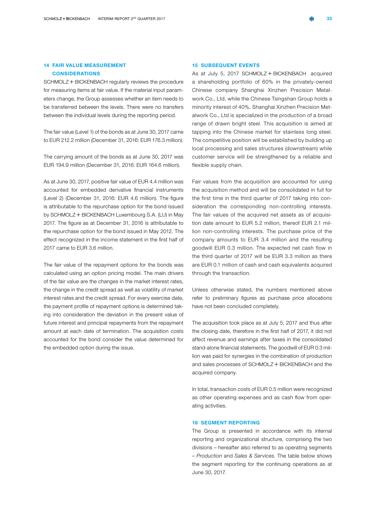### 14 FAIR VALUE MEASUREMENT **CONSIDERATIONS**

SCHMOLZ + BICKENBACH regularly reviews the procedure for measuring items at fair value. If the material input parameters change, the Group assesses whether an item needs to be transferred between the levels. There were no transfers between the individual levels during the reporting period.

The fair value (Level 1) of the bonds as at June 30, 2017 came to EUR 212.2 million (December 31, 2016: EUR 176.3 million).

The carrying amount of the bonds as at June 30, 2017 was EUR 194.9 million (December 31, 2016: EUR 164.6 million).

As at June 30, 2017, positive fair value of EUR 4.4 million was accounted for embedded derivative financial instruments (Level 2) (December 31, 2016: EUR 4.6 million). The figure is attributable to the repurchase option for the bond issued by SCHMOLZ + BICKENBACH Luxembourg S.A. (LU) in May 2017. The figure as at December 31, 2016 is attributable to the repurchase option for the bond issued in May 2012. The effect recognized in the income statement in the first half of 2017 came to EUR 3.6 million.

The fair value of the repayment options for the bonds was calculated using an option pricing model. The main drivers of the fair value are the changes in the market interest rates, the change in the credit spread as well as volatility of market interest rates and the credit spread. For every exercise date, the payment profile of repayment options is determined taking into consideration the deviation in the present value of future interest and principal repayments from the repayment amount at each date of termination. The acquisition costs accounted for the bond consider the value determined for the embedded option during the issue.

### 15 SUBSEQUENT EVENTS

As at July 5, 2017  $SCHMOLZ + BICKENBACH$  acquired a shareholding portfolio of 60% in the privately-owned Chinese company Shanghai Xinzhen Precision Metalwork Co., Ltd, while the Chinese Tsingshan Group holds a minority interest of 40%. Shanghai Xinzhen Precision Metalwork Co., Ltd is specialized in the production of a broad range of drawn bright steel. This acquisition is aimed at tapping into the Chinese market for stainless long steel. The competitive position will be established by building up local processing and sales structures (downstream) while customer service will be strengthened by a reliable and flexible supply chain.

Fair values from the acquisition are accounted for using the acquisition method and will be consolidated in full for the first time in the third quarter of 2017 taking into consideration the corresponding non-controlling interests. The fair values of the acquired net assets as of acquisition date amount to EUR 5.2 million, thereof EUR 2.1 million non-controlling interests. The purchase price of the company amounts to EUR 3.4 million and the resulting goodwill EUR 0.3 million. The expected net cash flow in the third quarter of 2017 will be EUR 3.3 million as there are EUR 0.1 million of cash and cash equivalents acquired through the transaction.

Unless otherwise stated, the numbers mentioned above refer to preliminary figures as purchase price allocations have not been concluded completely.

The acquisition took place as at July 5, 2017 and thus after the closing date, therefore in the first half of 2017, it did not affect revenue and earnings after taxes in the consolidated stand-alone financial statements. The goodwill of EUR 0.3 million was paid for synergies in the combination of production and sales processes of  $SCHMOLZ + BICKENBACH$  and the acquired company.

In total, transaction costs of EUR 0.5 million were recognized as other operating expenses and as cash flow from operating activities.

### 16 SEGMENT REPORTING

The Group is presented in accordance with its internal reporting and organizational structure, comprising the two divisions – hereafter also referred to as operating segments – *Production* and *Sales & Services*. The table below shows the segment reporting for the continuing operations as at June 30, 2017.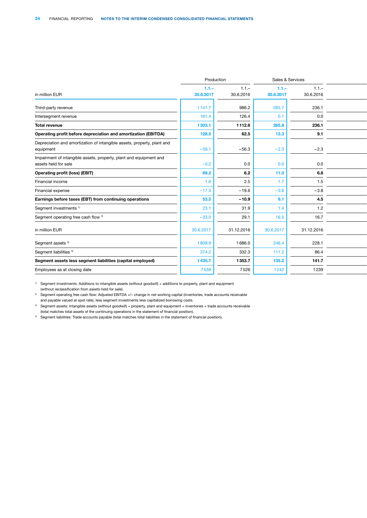|                                                                                            | Production |            | Sales & Services |            |  |
|--------------------------------------------------------------------------------------------|------------|------------|------------------|------------|--|
|                                                                                            | $1.1 -$    | $1.1 -$    | $1.1 -$          | $1.1 -$    |  |
| in million EUR                                                                             | 30.6.2017  | 30.6.2016  | 30.6.2017        | 30.6.2016  |  |
| Third-party revenue                                                                        | 1141.7     | 986.2      | 265.7            | 236.1      |  |
| Intersegment revenue                                                                       | 161.4      | 126.4      | 0.1              | 0.0        |  |
| <b>Total revenue</b>                                                                       | 1303.1     | 1112.6     | 265.8            | 236.1      |  |
| Operating profit before depreciation and amortization (EBITDA)                             | 128.5      | 62.5       | 13.3             | 9.1        |  |
| Depreciation and amortization of intangible assets, property, plant and<br>equipment       | $-59.1$    | $-56.3$    | $-2.3$           | $-2.3$     |  |
| Impairment of intangible assets, property, plant and equipment and<br>assets held for sale | $-0.2$     | 0.0        | 0.0              | 0.0        |  |
| <b>Operating profit (loss) (EBIT)</b>                                                      | 69.2       | 6.2        | 11.0             | 6.8        |  |
| Financial income                                                                           | 1.6        | 2.5        | 1.7              | 1.5        |  |
| Financial expense                                                                          | $-17.3$    | $-19.6$    | $-3.6$           | $-3.8$     |  |
| Earnings before taxes (EBT) from continuing operations                                     | 53.5       | $-10.9$    | 9.1              | 4.5        |  |
| Segment investments <sup>1)</sup>                                                          | 23.1       | 31.9       | 1.4              | $1.2$      |  |
| Segment operating free cash flow <sup>2)</sup>                                             | $-33.0$    | 29.1       | 16.5             | 16.7       |  |
| in million EUR                                                                             | 30.6.2017  | 31.12.2016 | 30.6.2017        | 31.12.2016 |  |
| Segment assets <sup>3)</sup>                                                               | 1809.9     | 1686.0     | 246.4            | 228.1      |  |
| Segment liabilities <sup>4)</sup>                                                          | 374.2      | 332.3      | 111.2            | 86.4       |  |
| Segment assets less segment liabilities (capital employed)                                 | 1435.7     | 1353.7     | 135.2            | 141.7      |  |
| Employees as at closing date                                                               | 7539       | 7526       | 1242             | 1239       |  |

<sup>1)</sup> Segment investments: Additions to intangible assets (without goodwill) + additions to property, plant and equipment (without reclassification from assets held for sale).

<sup>2)</sup> Segment operating free cash flow: Adjusted EBITDA +/- change in net working capital (inventories, trade accounts receivable and payable valued at spot rate), less segment investments less capitalized borrowing costs.

3) Segment assets: Intangible assets (without goodwill) + property, plant and equipment + inventories + trade accounts receivable (total matches total assets of the continuing operations in the statement of financial position).

4) Segment liabilities: Trade accounts payable (total matches total liabilities in the statement of financial position).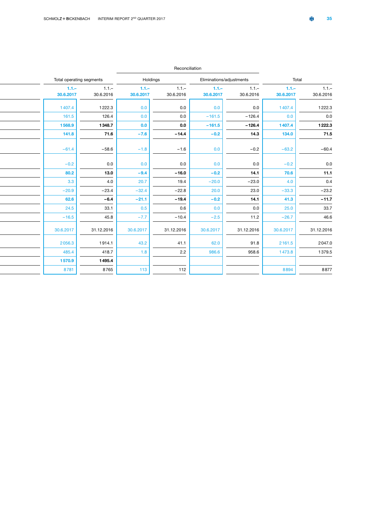|                          |  | Reconciliation |           |            |           |                          |           |            |
|--------------------------|--|----------------|-----------|------------|-----------|--------------------------|-----------|------------|
| Total operating segments |  |                |           | Holdings   |           | Eliminations/adjustments | Total     |            |
| $1.1 -$                  |  | $1.1 -$        | $1.1 -$   | $1.1 -$    | $-1.1 -$  | $1.1 -$                  | $1.1 -$   | $1.1 -$    |
| 30.6.2017                |  | 30.6.2016      | 30.6.2017 | 30.6.2016  | 30.6.2017 | 30.6.2016                | 30.6.2017 | 30.6.2016  |
| 1407.4                   |  | 1222.3         | 0.0       | 0.0        | 0.0       | 0.0                      | 1407.4    | 1222.3     |
| 161.5                    |  | 126.4          | 0.0       | 0.0        | $-161.5$  | $-126.4$                 | 0.0       | 0.0        |
| 1568.9                   |  | 1348.7         | 0.0       | 0.0        | $-161.5$  | $-126.4$                 | 1407.4    | 1222.3     |
| 141.8                    |  | 71.6           | $-7.6$    | $-14.4$    | $-0.2$    | 14.3                     | 134.0     | 71.5       |
| $-61.4$                  |  | $-58.6$        | $-1.8$    | $-1.6$     | 0.0       | $-0.2$                   | $-63.2$   | $-60.4$    |
|                          |  |                |           |            |           |                          |           |            |
| $-0.2$                   |  | 0.0            | 0.0       | 0.0        | 0.0       | 0.0                      | $-0.2$    |            |
| 80.2                     |  | 13.0           | $-9.4$    | $-16.0$    | $-0.2$    | 14.1                     | 70.6      | 11.1       |
| 3.3                      |  | 4.0            | 20.7      | 19.4       | $-20.0$   | $-23.0$                  | 4.0       | 0.4        |
| $-20.9$                  |  | $-23.4$        | $-32.4$   | $-22.8$    | 20.0      | 23.0                     | $-33.3$   | $-23.2$    |
| 62.6                     |  | $-6.4$         | $-21.1$   | $-19.4$    | $-0.2$    | 14.1                     | 41.3      | $-11.7$    |
| 24.5                     |  | 33.1           | 0.5       | 0.6        | 0.0       | 0.0                      | 25.0      | 33.7       |
| $-16.5$                  |  | 45.8           | $-7.7$    | $-10.4$    | $-2.5$    | 11.2                     | $-26.7$   | 46.6       |
| 30.6.2017                |  | 31.12.2016     | 30.6.2017 | 31.12.2016 | 30.6.2017 | 31.12.2016               | 30.6.2017 | 31.12.2016 |
| 2056.3                   |  | 1914.1         | 43.2      | 41.1       | 62.0      | 91.8                     | 2161.5    | 2047.0     |
| 485.4                    |  | 418.7          | 1.8       | 2.2        | 986.6     | 958.6                    | 1473.8    | 1379.5     |
| 1570.9                   |  | 1495.4         |           |            |           |                          |           |            |
| 8781                     |  | 8765           | 113       | 112        |           |                          | 8894      | 8877       |
|                          |  |                |           |            |           |                          |           |            |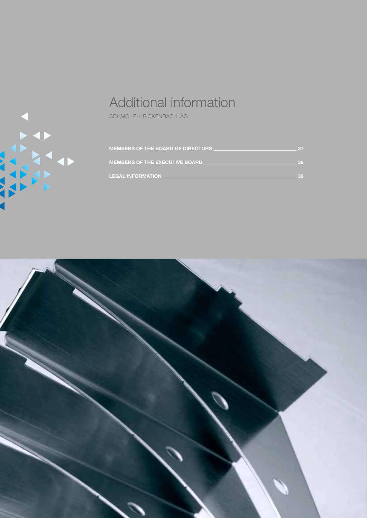<span id="page-38-0"></span>

# Additional information

 $\begin{aligned} \text{SCHMOLZ} + \text{BICKENBACH} \ \text{AG} \end{aligned}$ 

| <b>MEMBERS OF THE BOARD OF DIRECTORS</b> | -37 |
|------------------------------------------|-----|
| <b>MEMBERS OF THE EXECUTIVE BOARD.</b>   | 38  |
| <b>LEGAL INFORMATION</b>                 | 39  |

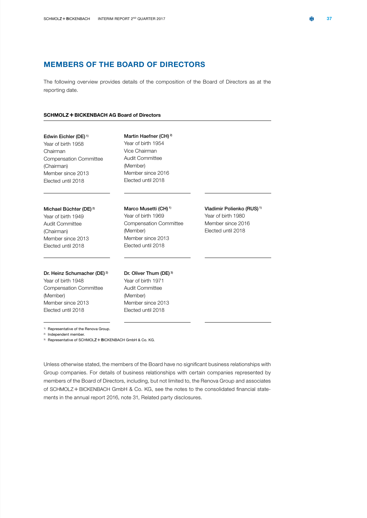### <span id="page-39-0"></span>MEMBERS OF THE BOARD OF DIRECTORS

The following overview provides details of the composition of the Board of Directors as at the reporting date.

#### **SCHMOLZ + BICKENBACH AG Board of Directors**

Edwin Eichler (DE) 1) Year of birth 1958 Chairman Compensation Committee (Chairman) Member since 2013 Elected until 2018

Martin Haefner (CH)<sup>2)</sup> Year of birth 1954 Vice Chairman Audit Committee (Member) Member since 2016 Elected until 2018

Marco Musetti (CH)<sup>1)</sup> Year of birth 1969 Compensation Committee

Member since 2013 Elected until 2018

(Member)

### Michael Büchter (DE) 2)

Year of birth 1949 Audit Committee (Chairman) Member since 2013 Elected until 2018

### Dr. Heinz Schumacher (DE)<sup>2)</sup>

Year of birth 1948 Compensation Committee (Member) Member since 2013 Elected until 2018

Dr. Oliver Thum (DE) 3) Year of birth 1971 Audit Committee (Member) Member since 2013 Elected until 2018

Vladimir Polienko (RUS) 1) Year of birth 1980 Member since 2016 Elected until 2018

1) Representative of the Renova Group.

2) Independent member.

<sup>3)</sup> Representative of SCHMOLZ + BICKENBACH GmbH & Co. KG.

Unless otherwise stated, the members of the Board have no significant business relationships with Group companies. For details of business relationships with certain companies represented by members of the Board of Directors, including, but not limited to, the Renova Group and associates of SCHMOLZ + BICKENBACH GmbH & Co. KG, see the notes to the consolidated financial statements in the annual report 2016, note 31, Related party disclosures.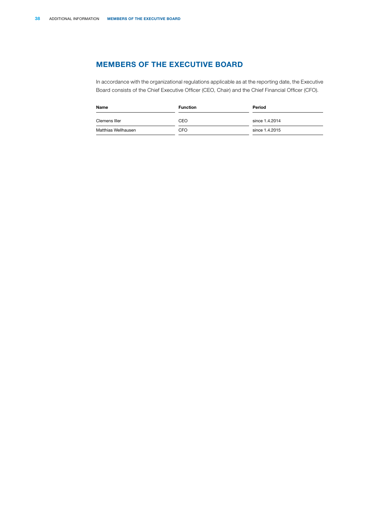### <span id="page-40-0"></span>MEMBERS OF THE EXECUTIVE BOARD

In accordance with the organizational regulations applicable as at the reporting date, the Executive Board consists of the Chief Executive Officer (CEO, Chair) and the Chief Financial Officer (CFO).

| Name                | <b>Function</b> | Period         |  |  |  |  |
|---------------------|-----------------|----------------|--|--|--|--|
| Clemens Iller       | CEO             | since 1.4.2014 |  |  |  |  |
| Matthias Wellhausen | CFO             | since 1.4.2015 |  |  |  |  |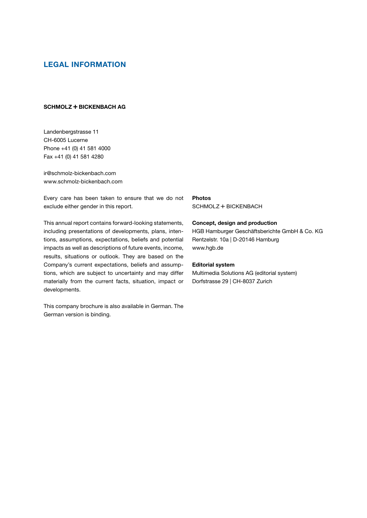### <span id="page-41-0"></span>LEGAL INFORMATION

### **SCHMOLZ + BICKENBACH AG**

Landenbergstrasse 11 CH-6005 Lucerne Phone +41 (0) 41 581 4000 Fax +41 (0) 41 581 4280

ir@schmolz-bickenbach.com www.schmolz-bickenbach.com

Every care has been taken to ensure that we do not exclude either gender in this report.

This annual report contains forward-looking statements, including presentations of developments, plans, intentions, assumptions, expectations, beliefs and potential impacts as well as descriptions of future events, income, results, situations or outlook. They are based on the Company's current expectations, beliefs and assumptions, which are subject to uncertainty and may differ materially from the current facts, situation, impact or developments.

This company brochure is also available in German. The German version is binding.

SCHMOLZ + BICKENBACH Photos

### Concept, design and production

HGB Hamburger Geschäftsberichte GmbH & Co. KG Rentzelstr. 10a | D-20146 Hamburg www.hgb.de

### Editorial system

Multimedia Solutions AG (editorial system) Dorfstrasse 29 | CH-8037 Zurich